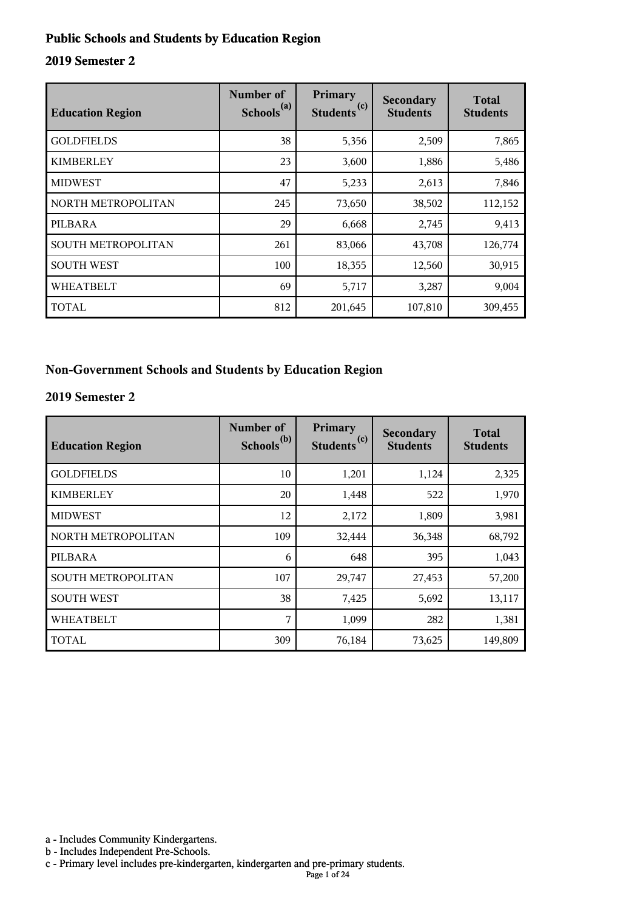#### **Public Schools and Students by Education Region**

#### **2019 Semester 2**

| <b>Education Region</b>   | Number of<br>Schools <sup>(a)</sup> | Primary<br>(c)<br><b>Students</b> | Secondary<br><b>Students</b> | <b>Total</b><br><b>Students</b> |
|---------------------------|-------------------------------------|-----------------------------------|------------------------------|---------------------------------|
| <b>GOLDFIELDS</b>         | 38                                  | 5,356                             | 2,509                        | 7,865                           |
| <b>KIMBERLEY</b>          | 23                                  | 3,600                             | 1,886                        | 5,486                           |
| <b>MIDWEST</b>            | 47                                  | 5,233                             | 2,613                        | 7,846                           |
| NORTH METROPOLITAN        | 245                                 | 73,650                            | 38,502                       | 112,152                         |
| PILBARA                   | 29                                  | 6,668                             | 2,745                        | 9,413                           |
| <b>SOUTH METROPOLITAN</b> | 261                                 | 83,066                            | 43,708                       | 126,774                         |
| <b>SOUTH WEST</b>         | 100                                 | 18,355                            | 12,560                       | 30,915                          |
| <b>WHEATBELT</b>          | 69                                  | 5,717                             | 3,287                        | 9,004                           |
| <b>TOTAL</b>              | 812                                 | 201,645                           | 107,810                      | 309,455                         |

#### **Non-Government Schools and Students by Education Region**

#### **2019 Semester 2**

| <b>Education Region</b> | Number of<br>Schools <sup>(b)</sup> | Primary<br>Students <sup>(c)</sup> | <b>Secondary</b><br><b>Students</b> | <b>Total</b><br><b>Students</b> |
|-------------------------|-------------------------------------|------------------------------------|-------------------------------------|---------------------------------|
| <b>GOLDFIELDS</b>       | 10                                  | 1,201                              | 1,124                               | 2,325                           |
| <b>KIMBERLEY</b>        | 20                                  | 1,448                              | 522                                 | 1,970                           |
| <b>MIDWEST</b>          | 12                                  | 2,172                              | 1,809                               | 3,981                           |
| NORTH METROPOLITAN      | 109                                 | 32,444                             | 36,348                              | 68,792                          |
| PILBARA                 | 6                                   | 648                                | 395                                 | 1,043                           |
| SOUTH METROPOLITAN      | 107                                 | 29,747                             | 27,453                              | 57,200                          |
| <b>SOUTH WEST</b>       | 38                                  | 7,425                              | 5,692                               | 13,117                          |
| <b>WHEATBELT</b>        | 7                                   | 1,099                              | 282                                 | 1,381                           |
| <b>TOTAL</b>            | 309                                 | 76,184                             | 73,625                              | 149,809                         |

a - Includes Community Kindergartens.

b - Includes Independent Pre-Schools.

c - Primary level includes pre-kindergarten, kindergarten and pre-primary students.

Page 1 of 24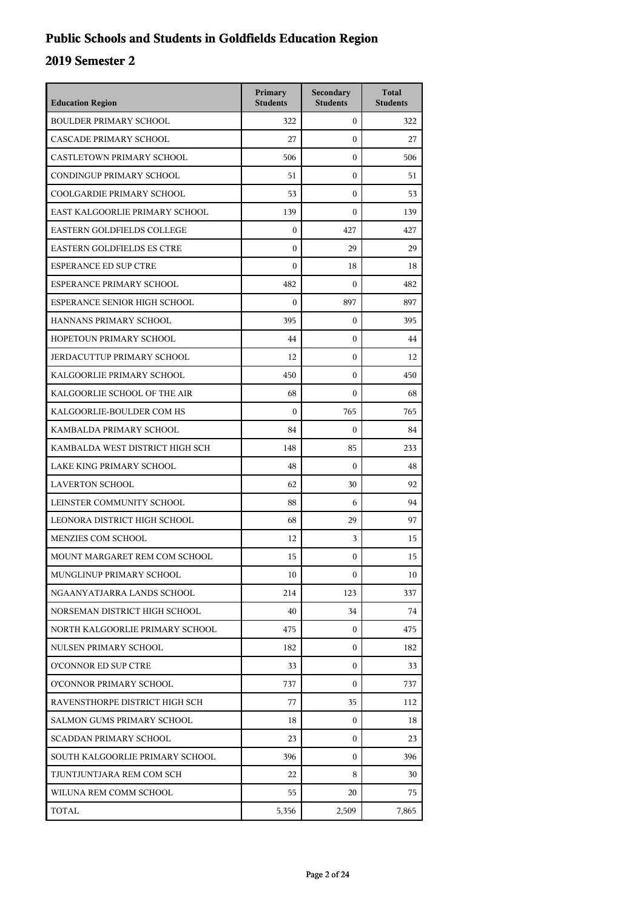## **Public Schools and Students in Goldfields Education Region**

| <b>Education Region</b>           | Primary<br><b>Students</b> | Secondary<br><b>Students</b> | <b>Total</b><br><b>Students</b> |
|-----------------------------------|----------------------------|------------------------------|---------------------------------|
| <b>BOULDER PRIMARY SCHOOL</b>     | 322                        | $\mathbf{0}$                 | 322                             |
| CASCADE PRIMARY SCHOOL            | 27                         | $\mathbf{0}$                 | 27                              |
| CASTLETOWN PRIMARY SCHOOL         | 506                        | $\mathbf{0}$                 | 506                             |
| CONDINGUP PRIMARY SCHOOL          | 51                         | $\boldsymbol{0}$             | 51                              |
| COOLGARDIE PRIMARY SCHOOL         | 53                         | $\boldsymbol{0}$             | 53                              |
| EAST KALGOORLIE PRIMARY SCHOOL    | 139                        | $\boldsymbol{0}$             | 139                             |
| EASTERN GOLDFIELDS COLLEGE        | $\mathbf{0}$               | 427                          | 427                             |
| <b>EASTERN GOLDFIELDS ES CTRE</b> | $\mathbf{0}$               | 29                           | 29                              |
| <b>ESPERANCE ED SUP CTRE</b>      | $\boldsymbol{0}$           | 18                           | 18                              |
| ESPERANCE PRIMARY SCHOOL          | 482                        | $\boldsymbol{0}$             | 482                             |
| ESPERANCE SENIOR HIGH SCHOOL      | $\boldsymbol{0}$           | 897                          | 897                             |
| HANNANS PRIMARY SCHOOL            | 395                        | $\mathbf{0}$                 | 395                             |
| HOPETOUN PRIMARY SCHOOL           | 44                         | $\mathbf{0}$                 | 44                              |
| JERDACUTTUP PRIMARY SCHOOL        | 12                         | $\boldsymbol{0}$             | 12                              |
| KALGOORLIE PRIMARY SCHOOL         | 450                        | $\boldsymbol{0}$             | 450                             |
| KALGOORLIE SCHOOL OF THE AIR      | 68                         | $\boldsymbol{0}$             | 68                              |
| KALGOORLIE-BOULDER COM HS         | $\theta$                   | 765                          | 765                             |
| KAMBALDA PRIMARY SCHOOL           | 84                         | $\boldsymbol{0}$             | 84                              |
| KAMBALDA WEST DISTRICT HIGH SCH   | 148                        | 85                           | 233                             |
| LAKE KING PRIMARY SCHOOL          | 48                         | $\boldsymbol{0}$             | 48                              |
| <b>LAVERTON SCHOOL</b>            | 62                         | 30                           | 92                              |
| LEINSTER COMMUNITY SCHOOL         | 88                         | 6                            | 94                              |
| LEONORA DISTRICT HIGH SCHOOL      | 68                         | 29                           | 97                              |
| MENZIES COM SCHOOL                | 12                         | 3                            | 15                              |
| MOUNT MARGARET REM COM SCHOOL     | 15                         | $\boldsymbol{0}$             | 15                              |
| MUNGLINUP PRIMARY SCHOOL          | 10                         | $\mathbf{0}$                 | 10                              |
| NGAANYATJARRA LANDS SCHOOL        | 214                        | 123                          | 337                             |
| NORSEMAN DISTRICT HIGH SCHOOL     | 40                         | 34                           | 74                              |
| NORTH KALGOORLIE PRIMARY SCHOOL   | 475                        | $\mathbf{0}$                 | 475                             |
| NULSEN PRIMARY SCHOOL             | 182                        | 0                            | 182                             |
| <b>O'CONNOR ED SUP CTRE</b>       | 33                         | 0                            | 33                              |
| O'CONNOR PRIMARY SCHOOL           | 737                        | $\mathbf{0}$                 | 737                             |
| RAVENSTHORPE DISTRICT HIGH SCH    | 77                         | 35                           | 112                             |
| <b>SALMON GUMS PRIMARY SCHOOL</b> | 18                         | $\mathbf{0}$                 | 18                              |
| <b>SCADDAN PRIMARY SCHOOL</b>     | 23                         | 0                            | 23                              |
| SOUTH KALGOORLIE PRIMARY SCHOOL   | 396                        | 0                            | 396                             |
| TJUNTJUNTJARA REM COM SCH         | 22                         | 8                            | 30                              |
| WILUNA REM COMM SCHOOL            | 55                         | 20                           | 75                              |
| TOTAL                             | 5,356                      | 2,509                        | 7,865                           |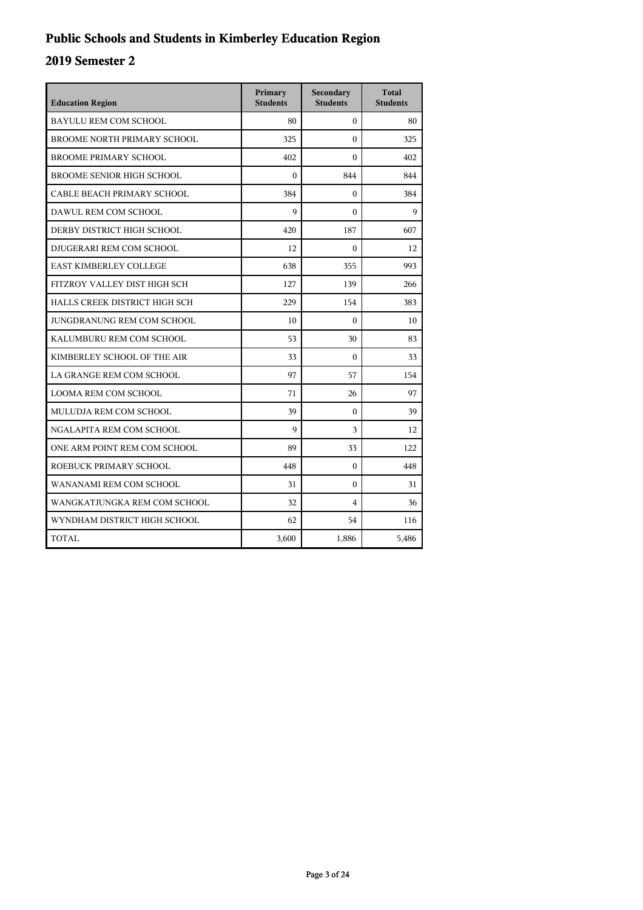## **Public Schools and Students in Kimberley Education Region**

| <b>Education Region</b>            | Primary<br><b>Students</b> | Secondary<br><b>Students</b> | <b>Total</b><br><b>Students</b> |
|------------------------------------|----------------------------|------------------------------|---------------------------------|
| BAYULU REM COM SCHOOL              | 80                         | $\Omega$                     | 80                              |
| <b>BROOME NORTH PRIMARY SCHOOL</b> | 325                        | $\theta$                     | 325                             |
| <b>BROOME PRIMARY SCHOOL</b>       | 402                        | $\Omega$                     | 402                             |
| <b>BROOME SENIOR HIGH SCHOOL</b>   | $\theta$                   | 844                          | 844                             |
| CABLE BEACH PRIMARY SCHOOL         | 384                        | $\mathbf{0}$                 | 384                             |
| DAWUL REM COM SCHOOL               | 9                          | $\theta$                     | $\mathbf Q$                     |
| DERBY DISTRICT HIGH SCHOOL         | 420                        | 187                          | 607                             |
| DJUGERARI REM COM SCHOOL           | 12                         | $\theta$                     | 12                              |
| <b>EAST KIMBERLEY COLLEGE</b>      | 638                        | 355                          | 993                             |
| FITZROY VALLEY DIST HIGH SCH       | 127                        | 139                          | 266                             |
| HALLS CREEK DISTRICT HIGH SCH      | 229                        | 154                          | 383                             |
| JUNGDRANUNG REM COM SCHOOL         | 10                         | $\mathbf{0}$                 | 10                              |
| KALUMBURU REM COM SCHOOL           | 53                         | 30                           | 83                              |
| KIMBERLEY SCHOOL OF THE AIR        | 33                         | $\Omega$                     | 33                              |
| LA GRANGE REM COM SCHOOL           | 97                         | 57                           | 154                             |
| <b>LOOMA REM COM SCHOOL</b>        | 71                         | 26                           | 97                              |
| MULUDJA REM COM SCHOOL             | 39                         | $\theta$                     | 39                              |
| NGALAPITA REM COM SCHOOL           | 9                          | 3                            | 12                              |
| ONE ARM POINT REM COM SCHOOL       | 89                         | 33                           | 122                             |
| ROEBUCK PRIMARY SCHOOL             | 448                        | $\theta$                     | 448                             |
| WANANAMI REM COM SCHOOL            | 31                         | $\theta$                     | 31                              |
| WANGKATJUNGKA REM COM SCHOOL       | 32                         | $\overline{4}$               | 36                              |
| WYNDHAM DISTRICT HIGH SCHOOL       | 62                         | 54                           | 116                             |
| TOTAL                              | 3,600                      | 1,886                        | 5,486                           |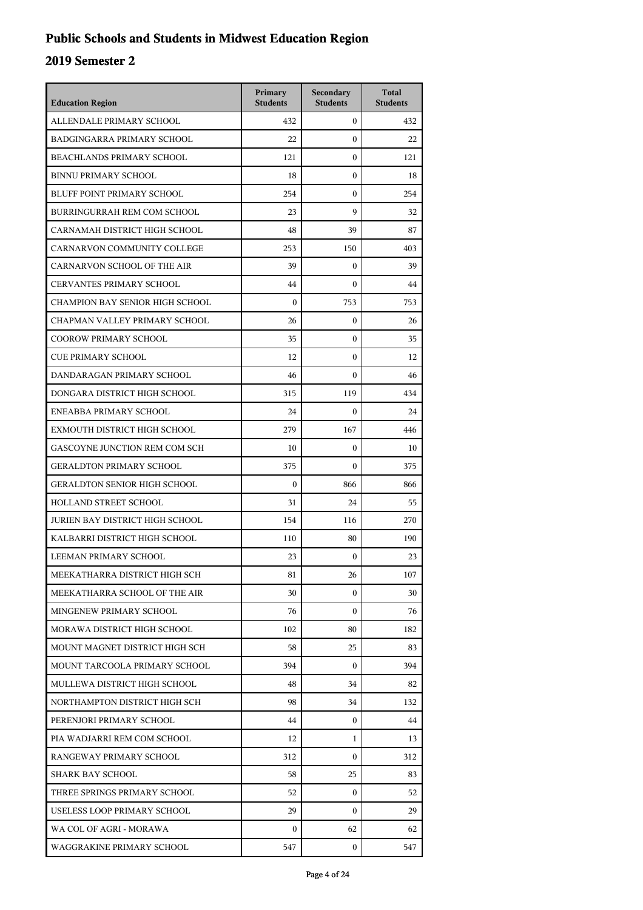## **Public Schools and Students in Midwest Education Region**

| <b>Education Region</b>             | Primary<br><b>Students</b> | Secondary<br><b>Students</b> | <b>Total</b><br><b>Students</b> |
|-------------------------------------|----------------------------|------------------------------|---------------------------------|
| ALLENDALE PRIMARY SCHOOL            | 432                        | $\overline{0}$               | 432                             |
| BADGINGARRA PRIMARY SCHOOL          | 22                         | $\mathbf{0}$                 | 22                              |
| <b>BEACHLANDS PRIMARY SCHOOL</b>    | 121                        | $\mathbf{0}$                 | 121                             |
| <b>BINNU PRIMARY SCHOOL</b>         | 18                         | $\mathbf{0}$                 | 18                              |
| BLUFF POINT PRIMARY SCHOOL          | 254                        | $\mathbf{0}$                 | 254                             |
| BURRINGURRAH REM COM SCHOOL         | 23                         | 9                            | 32                              |
| CARNAMAH DISTRICT HIGH SCHOOL       | 48                         | 39                           | 87                              |
| CARNARVON COMMUNITY COLLEGE         | 253                        | 150                          | 403                             |
| CARNARVON SCHOOL OF THE AIR         | 39                         | $\mathbf{0}$                 | 39                              |
| <b>CERVANTES PRIMARY SCHOOL</b>     | 44                         | $\Omega$                     | 44                              |
| CHAMPION BAY SENIOR HIGH SCHOOL     | $\mathbf{0}$               | 753                          | 753                             |
| CHAPMAN VALLEY PRIMARY SCHOOL       | 26                         | $\mathbf{0}$                 | 26                              |
| <b>COOROW PRIMARY SCHOOL</b>        | 35                         | $\mathbf{0}$                 | 35                              |
| <b>CUE PRIMARY SCHOOL</b>           | 12                         | $\mathbf{0}$                 | 12                              |
| DANDARAGAN PRIMARY SCHOOL           | 46                         | $\Omega$                     | 46                              |
| DONGARA DISTRICT HIGH SCHOOL        | 315                        | 119                          | 434                             |
| ENEABBA PRIMARY SCHOOL              | 24                         | $\Omega$                     | 24                              |
| EXMOUTH DISTRICT HIGH SCHOOL        | 279                        | 167                          | 446                             |
| GASCOYNE JUNCTION REM COM SCH       | 10                         | $\mathbf{0}$                 | 10                              |
| <b>GERALDTON PRIMARY SCHOOL</b>     | 375                        | $\Omega$                     | 375                             |
| <b>GERALDTON SENIOR HIGH SCHOOL</b> | $\mathbf{0}$               | 866                          | 866                             |
| HOLLAND STREET SCHOOL               | 31                         | 24                           | 55                              |
| JURIEN BAY DISTRICT HIGH SCHOOL     | 154                        | 116                          | 270                             |
| KALBARRI DISTRICT HIGH SCHOOL       | 110                        | 80                           | 190                             |
| LEEMAN PRIMARY SCHOOL               | 23                         | 0                            | 23                              |
| MEEKATHARRA DISTRICT HIGH SCH       | 81                         | 26                           | 107                             |
| MEEKATHARRA SCHOOL OF THE AIR       | 30                         | $\Omega$                     | 30                              |
| MINGENEW PRIMARY SCHOOL             | 76                         | $\mathbf{0}$                 | 76                              |
| MORAWA DISTRICT HIGH SCHOOL         | 102                        | 80                           | 182                             |
| MOUNT MAGNET DISTRICT HIGH SCH      | 58                         | 25                           | 83                              |
| MOUNT TARCOOLA PRIMARY SCHOOL       | 394                        | $\Omega$                     | 394                             |
| MULLEWA DISTRICT HIGH SCHOOL        | 48                         | 34                           | 82                              |
| NORTHAMPTON DISTRICT HIGH SCH       | 98                         | 34                           | 132                             |
| PERENJORI PRIMARY SCHOOL            | 44                         | 0                            | 44                              |
| PIA WADJARRI REM COM SCHOOL         | 12                         | 1                            | 13                              |
| RANGEWAY PRIMARY SCHOOL             | 312                        | $\Omega$                     | 312                             |
| SHARK BAY SCHOOL                    | 58                         | 25                           | 83                              |
| THREE SPRINGS PRIMARY SCHOOL        | 52                         | $\mathbf{0}$                 | 52                              |
| USELESS LOOP PRIMARY SCHOOL         | 29                         | $\mathbf{0}$                 | 29                              |
| WA COL OF AGRI - MORAWA             | $\mathbf{0}$               | 62                           | 62                              |
| WAGGRAKINE PRIMARY SCHOOL           | 547                        | $\mathbf{0}$                 | 547                             |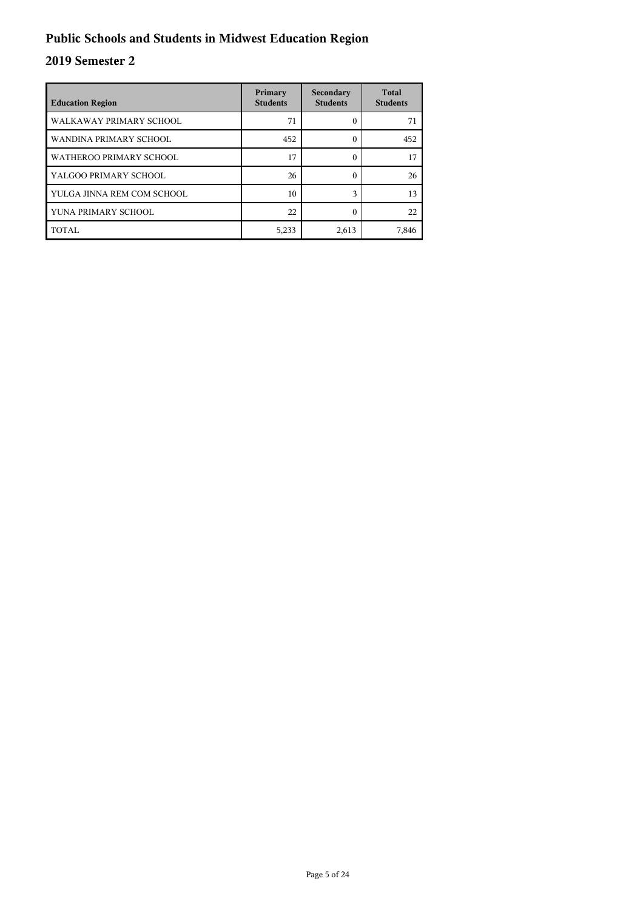## **Public Schools and Students in Midwest Education Region**

| <b>Education Region</b>    | Primary<br><b>Students</b> | Secondary<br><b>Students</b> | <b>Total</b><br><b>Students</b> |
|----------------------------|----------------------------|------------------------------|---------------------------------|
| WALKAWAY PRIMARY SCHOOL    | 71                         | 0                            | 71                              |
| WANDINA PRIMARY SCHOOL     | 452                        | 0                            | 452                             |
| WATHEROO PRIMARY SCHOOL    | 17                         | 0                            | 17                              |
| YALGOO PRIMARY SCHOOL      | 26                         | 0                            | 26                              |
| YULGA JINNA REM COM SCHOOL | 10                         | $\mathbf{3}$                 | 13                              |
| YUNA PRIMARY SCHOOL        | 22                         | C                            | 22                              |
| TOTAL                      | 5,233                      | 2,613                        | 7,846                           |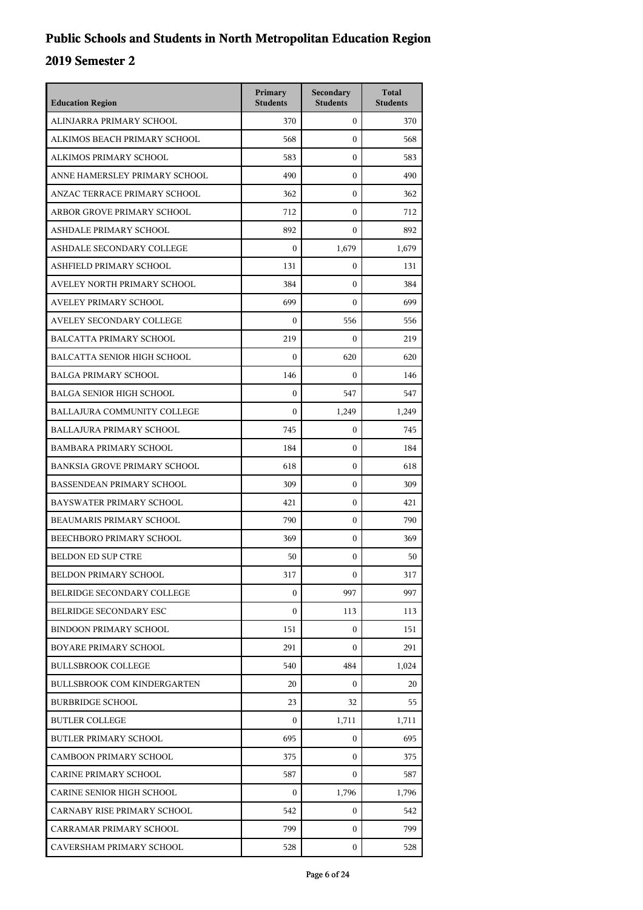| <b>Education Region</b>             | Primary<br><b>Students</b> | Secondary<br><b>Students</b> | <b>Total</b><br><b>Students</b> |
|-------------------------------------|----------------------------|------------------------------|---------------------------------|
| ALINJARRA PRIMARY SCHOOL            | 370                        | $\mathbf{0}$                 | 370                             |
| ALKIMOS BEACH PRIMARY SCHOOL        | 568                        | $\mathbf{0}$                 | 568                             |
| ALKIMOS PRIMARY SCHOOL              | 583                        | $\mathbf{0}$                 | 583                             |
| ANNE HAMERSLEY PRIMARY SCHOOL       | 490                        | $\mathbf{0}$                 | 490                             |
| ANZAC TERRACE PRIMARY SCHOOL        | 362                        | 0                            | 362                             |
| ARBOR GROVE PRIMARY SCHOOL          | 712                        | $\mathbf{0}$                 | 712                             |
| ASHDALE PRIMARY SCHOOL              | 892                        | $\mathbf{0}$                 | 892                             |
| ASHDALE SECONDARY COLLEGE           | $\theta$                   | 1,679                        | 1,679                           |
| ASHFIELD PRIMARY SCHOOL             | 131                        | $\boldsymbol{0}$             | 131                             |
| AVELEY NORTH PRIMARY SCHOOL         | 384                        | 0                            | 384                             |
| <b>AVELEY PRIMARY SCHOOL</b>        | 699                        | $\mathbf{0}$                 | 699                             |
| AVELEY SECONDARY COLLEGE            | $\boldsymbol{0}$           | 556                          | 556                             |
| BALCATTA PRIMARY SCHOOL             | 219                        | $\mathbf{0}$                 | 219                             |
| <b>BALCATTA SENIOR HIGH SCHOOL</b>  | $\boldsymbol{0}$           | 620                          | 620                             |
| <b>BALGA PRIMARY SCHOOL</b>         | 146                        | 0                            | 146                             |
| <b>BALGA SENIOR HIGH SCHOOL</b>     | $\mathbf{0}$               | 547                          | 547                             |
| BALLAJURA COMMUNITY COLLEGE         | $\Omega$                   | 1,249                        | 1,249                           |
| <b>BALLAJURA PRIMARY SCHOOL</b>     | 745                        | $\mathbf{0}$                 | 745                             |
| <b>BAMBARA PRIMARY SCHOOL</b>       | 184                        | $\mathbf{0}$                 | 184                             |
| <b>BANKSIA GROVE PRIMARY SCHOOL</b> | 618                        | 0                            | 618                             |
| BASSENDEAN PRIMARY SCHOOL           | 309                        | $\mathbf{0}$                 | 309                             |
| BAYSWATER PRIMARY SCHOOL            | 421                        | $\mathbf{0}$                 | 421                             |
| BEAUMARIS PRIMARY SCHOOL            | 790                        | $\mathbf{0}$                 | 790                             |
| BEECHBORO PRIMARY SCHOOL            | 369                        | $\mathbf{0}$                 | 369                             |
| <b>BELDON ED SUP CTRE</b>           | 50                         | $\mathbf{0}$                 | 50                              |
| <b>BELDON PRIMARY SCHOOL</b>        | 317                        | 0                            | 317                             |
| BELRIDGE SECONDARY COLLEGE          | $\boldsymbol{0}$           | 997                          | 997                             |
| BELRIDGE SECONDARY ESC              | $\boldsymbol{0}$           | 113                          | 113                             |
| <b>BINDOON PRIMARY SCHOOL</b>       | 151                        | $\mathbf{0}$                 | 151                             |
| BOYARE PRIMARY SCHOOL               | 291                        | $\Omega$                     | 291                             |
| <b>BULLSBROOK COLLEGE</b>           | 540                        | 484                          | 1,024                           |
| <b>BULLSBROOK COM KINDERGARTEN</b>  | 20                         | $\overline{0}$               | 20                              |
| <b>BURBRIDGE SCHOOL</b>             | 23                         | 32                           | 55                              |
| <b>BUTLER COLLEGE</b>               | 0                          | 1,711                        | 1,711                           |
| <b>BUTLER PRIMARY SCHOOL</b>        | 695                        | $\overline{0}$               | 695                             |
| <b>CAMBOON PRIMARY SCHOOL</b>       | 375                        | $\overline{0}$               | 375                             |
| <b>CARINE PRIMARY SCHOOL</b>        | 587                        | $\overline{0}$               | 587                             |
| CARINE SENIOR HIGH SCHOOL           | $\boldsymbol{0}$           | 1,796                        | 1,796                           |
| CARNABY RISE PRIMARY SCHOOL         | 542                        | $\mathbf{0}$                 | 542                             |
| CARRAMAR PRIMARY SCHOOL             | 799                        | $\mathbf{0}$                 | 799                             |
| CAVERSHAM PRIMARY SCHOOL            | 528                        | $\mathbf{0}$                 | 528                             |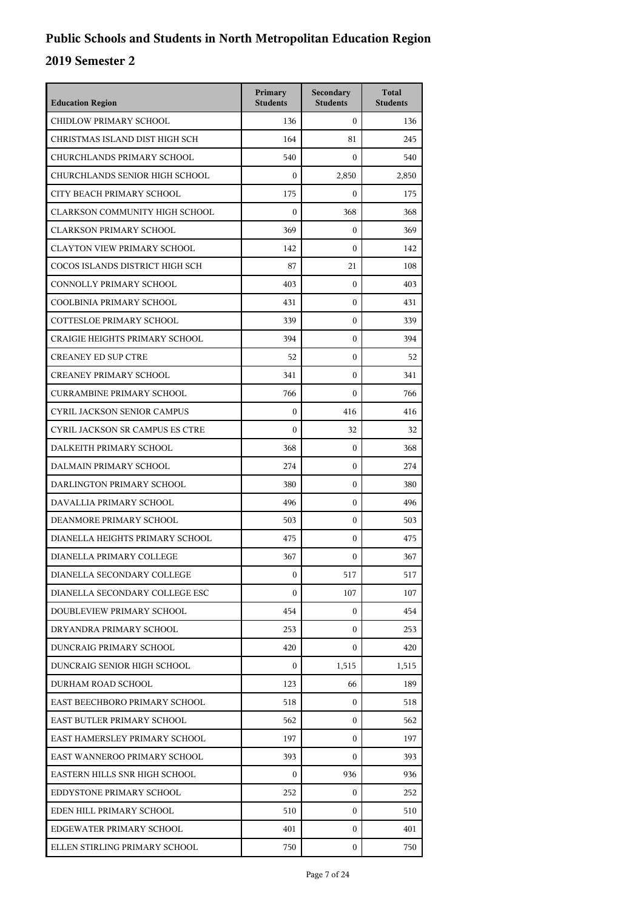| <b>Education Region</b>               | Primary<br><b>Students</b> | Secondary<br><b>Students</b> | <b>Total</b><br><b>Students</b> |
|---------------------------------------|----------------------------|------------------------------|---------------------------------|
| CHIDLOW PRIMARY SCHOOL                | 136                        | $\mathbf{0}$                 | 136                             |
| CHRISTMAS ISLAND DIST HIGH SCH        | 164                        | 81                           | 245                             |
| CHURCHLANDS PRIMARY SCHOOL            | 540                        | $\mathbf{0}$                 | 540                             |
| CHURCHLANDS SENIOR HIGH SCHOOL        | $\mathbf{0}$               | 2,850                        | 2,850                           |
| CITY BEACH PRIMARY SCHOOL             | 175                        | $\Omega$                     | 175                             |
| <b>CLARKSON COMMUNITY HIGH SCHOOL</b> | $\mathbf{0}$               | 368                          | 368                             |
| <b>CLARKSON PRIMARY SCHOOL</b>        | 369                        | $\mathbf{0}$                 | 369                             |
| <b>CLAYTON VIEW PRIMARY SCHOOL</b>    | 142                        | $\mathbf{0}$                 | 142                             |
| COCOS ISLANDS DISTRICT HIGH SCH       | 87                         | 21                           | 108                             |
| CONNOLLY PRIMARY SCHOOL               | 403                        | $\mathbf{0}$                 | 403                             |
| COOLBINIA PRIMARY SCHOOL              | 431                        | $\mathbf{0}$                 | 431                             |
| <b>COTTESLOE PRIMARY SCHOOL</b>       | 339                        | $\mathbf{0}$                 | 339                             |
| <b>CRAIGIE HEIGHTS PRIMARY SCHOOL</b> | 394                        | $\mathbf{0}$                 | 394                             |
| <b>CREANEY ED SUP CTRE</b>            | 52                         | $\mathbf{0}$                 | 52                              |
| <b>CREANEY PRIMARY SCHOOL</b>         | 341                        | $\mathbf{0}$                 | 341                             |
| <b>CURRAMBINE PRIMARY SCHOOL</b>      | 766                        | $\mathbf{0}$                 | 766                             |
| <b>CYRIL JACKSON SENIOR CAMPUS</b>    | $\mathbf{0}$               | 416                          | 416                             |
| CYRIL JACKSON SR CAMPUS ES CTRE       | $\mathbf{0}$               | 32                           | 32                              |
| DALKEITH PRIMARY SCHOOL               | 368                        | $\mathbf{0}$                 | 368                             |
| DALMAIN PRIMARY SCHOOL                | 274                        | $\mathbf{0}$                 | 274                             |
| DARLINGTON PRIMARY SCHOOL             | 380                        | $\mathbf{0}$                 | 380                             |
| DAVALLIA PRIMARY SCHOOL               | 496                        | $\mathbf{0}$                 | 496                             |
| DEANMORE PRIMARY SCHOOL               | 503                        | $\mathbf{0}$                 | 503                             |
| DIANELLA HEIGHTS PRIMARY SCHOOL       | 475                        | $\mathbf{0}$                 | 475                             |
| DIANELLA PRIMARY COLLEGE              | 367                        | $\mathbf{0}$                 | 367                             |
| DIANELLA SECONDARY COLLEGE            | $\boldsymbol{0}$           | 517                          | 517                             |
| DIANELLA SECONDARY COLLEGE ESC        | $\mathbf{0}$               | 107                          | 107                             |
| DOUBLEVIEW PRIMARY SCHOOL             | 454                        | $\mathbf{0}$                 | 454                             |
| DRYANDRA PRIMARY SCHOOL               | 253                        | $\Omega$                     | 253                             |
| DUNCRAIG PRIMARY SCHOOL               | 420                        | $\mathbf{0}$                 | 420                             |
| DUNCRAIG SENIOR HIGH SCHOOL           | $\mathbf{0}$               | 1,515                        | 1,515                           |
| DURHAM ROAD SCHOOL                    | 123                        | 66                           | 189                             |
| EAST BEECHBORO PRIMARY SCHOOL         | 518                        | $\mathbf{0}$                 | 518                             |
| EAST BUTLER PRIMARY SCHOOL            | 562                        | 0                            | 562                             |
| EAST HAMERSLEY PRIMARY SCHOOL         | 197                        | $\mathbf{0}$                 | 197                             |
| EAST WANNEROO PRIMARY SCHOOL          | 393                        | $\mathbf{0}$                 | 393                             |
| EASTERN HILLS SNR HIGH SCHOOL         | $\mathbf{0}$               | 936                          | 936                             |
| EDDYSTONE PRIMARY SCHOOL              | 252                        | $\mathbf{0}$                 | 252                             |
| EDEN HILL PRIMARY SCHOOL              | 510                        | $\Omega$                     | 510                             |
| EDGEWATER PRIMARY SCHOOL              | 401                        | $\mathbf{0}$                 | 401                             |
| ELLEN STIRLING PRIMARY SCHOOL         | 750                        | 0                            | 750                             |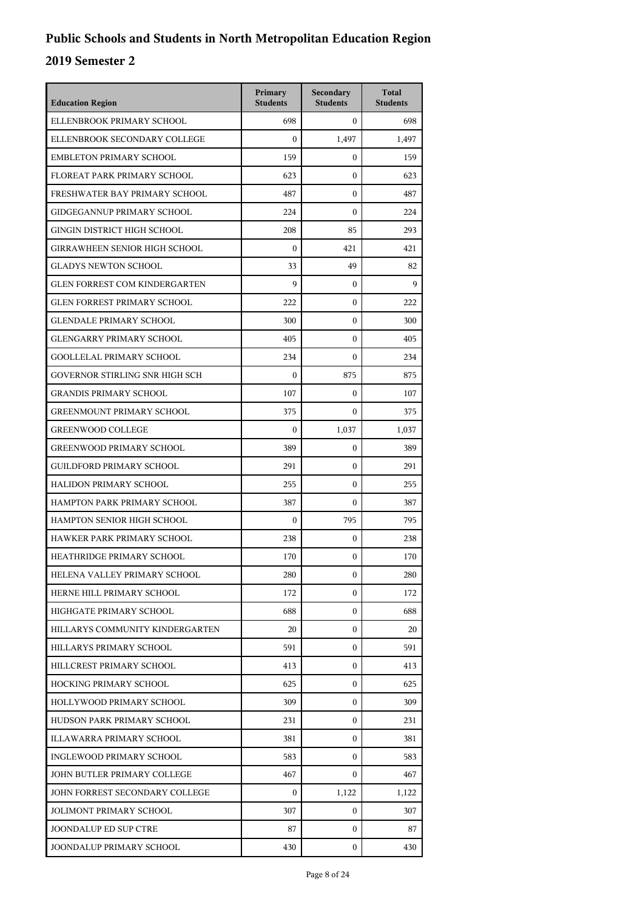| <b>Education Region</b>              | Primary<br><b>Students</b> | Secondary<br><b>Students</b> | <b>Total</b><br><b>Students</b> |
|--------------------------------------|----------------------------|------------------------------|---------------------------------|
| ELLENBROOK PRIMARY SCHOOL            | 698                        | $\mathbf{0}$                 | 698                             |
| ELLENBROOK SECONDARY COLLEGE         | $\mathbf{0}$               | 1,497                        | 1,497                           |
| <b>EMBLETON PRIMARY SCHOOL</b>       | 159                        | $\mathbf{0}$                 | 159                             |
| FLOREAT PARK PRIMARY SCHOOL          | 623                        | $\mathbf{0}$                 | 623                             |
| FRESHWATER BAY PRIMARY SCHOOL        | 487                        | $\mathbf{0}$                 | 487                             |
| <b>GIDGEGANNUP PRIMARY SCHOOL</b>    | 224                        | $\mathbf{0}$                 | 224                             |
| <b>GINGIN DISTRICT HIGH SCHOOL</b>   | 208                        | 85                           | 293                             |
| <b>GIRRAWHEEN SENIOR HIGH SCHOOL</b> | $\mathbf{0}$               | 421                          | 421                             |
| <b>GLADYS NEWTON SCHOOL</b>          | 33                         | 49                           | 82                              |
| <b>GLEN FORREST COM KINDERGARTEN</b> | $\mathbf Q$                | 0                            | 9                               |
| <b>GLEN FORREST PRIMARY SCHOOL</b>   | 222                        | $\mathbf{0}$                 | 222                             |
| <b>GLENDALE PRIMARY SCHOOL</b>       | 300                        | $\mathbf{0}$                 | 300                             |
| <b>GLENGARRY PRIMARY SCHOOL</b>      | 405                        | $\mathbf{0}$                 | 405                             |
| <b>GOOLLELAL PRIMARY SCHOOL</b>      | 234                        | $\mathbf{0}$                 | 234                             |
| GOVERNOR STIRLING SNR HIGH SCH       | $\mathbf{0}$               | 875                          | 875                             |
| <b>GRANDIS PRIMARY SCHOOL</b>        | 107                        | $\mathbf{0}$                 | 107                             |
| <b>GREENMOUNT PRIMARY SCHOOL</b>     | 375                        | $\Omega$                     | 375                             |
| <b>GREENWOOD COLLEGE</b>             | $\mathbf{0}$               | 1,037                        | 1,037                           |
| <b>GREENWOOD PRIMARY SCHOOL</b>      | 389                        | 0                            | 389                             |
| <b>GUILDFORD PRIMARY SCHOOL</b>      | 291                        | $\mathbf{0}$                 | 291                             |
| HALIDON PRIMARY SCHOOL               | 255                        | $\mathbf{0}$                 | 255                             |
| HAMPTON PARK PRIMARY SCHOOL          | 387                        | $\mathbf{0}$                 | 387                             |
| HAMPTON SENIOR HIGH SCHOOL           | $\mathbf{0}$               | 795                          | 795                             |
| HAWKER PARK PRIMARY SCHOOL           | 238                        | $\mathbf{0}$                 | 238                             |
| HEATHRIDGE PRIMARY SCHOOL            | 170                        | $\mathbf{0}$                 | 170                             |
| HELENA VALLEY PRIMARY SCHOOL         | 280                        | 0                            | 280                             |
| HERNE HILL PRIMARY SCHOOL            | 172                        | $\mathbf{0}$                 | 172                             |
| HIGHGATE PRIMARY SCHOOL              | 688                        | $\mathbf{0}$                 | 688                             |
| HILLARYS COMMUNITY KINDERGARTEN      | 20                         | $\mathbf{0}$                 | 20                              |
| HILLARYS PRIMARY SCHOOL              | 591                        | $\mathbf{0}$                 | 591                             |
| HILLCREST PRIMARY SCHOOL             | 413                        | $\mathbf{0}$                 | 413                             |
| HOCKING PRIMARY SCHOOL               | 625                        | $\mathbf{0}$                 | 625                             |
| HOLLYWOOD PRIMARY SCHOOL             | 309                        | $\mathbf{0}$                 | 309                             |
| HUDSON PARK PRIMARY SCHOOL           | 231                        | $\mathbf{0}$                 | 231                             |
| ILLAWARRA PRIMARY SCHOOL             | 381                        | $\mathbf{0}$                 | 381                             |
| INGLEWOOD PRIMARY SCHOOL             | 583                        | $\mathbf{0}$                 | 583                             |
| JOHN BUTLER PRIMARY COLLEGE          | 467                        | $\overline{0}$               | 467                             |
| JOHN FORREST SECONDARY COLLEGE       | $\mathbf{0}$               | 1,122                        | 1,122                           |
| <b>JOLIMONT PRIMARY SCHOOL</b>       | 307                        | $\mathbf{0}$                 | 307                             |
| <b>JOONDALUP ED SUP CTRE</b>         | 87                         | $\mathbf{0}$                 | 87                              |
| JOONDALUP PRIMARY SCHOOL             | 430                        | $\mathbf{0}$                 | 430                             |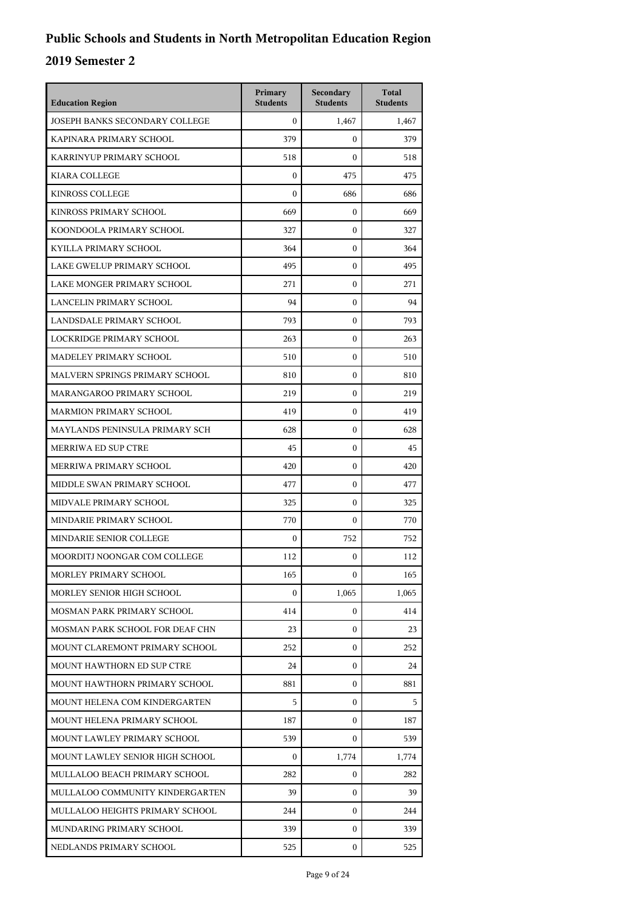| <b>Education Region</b>               | Primary<br><b>Students</b> | Secondary<br><b>Students</b> | <b>Total</b><br><b>Students</b> |
|---------------------------------------|----------------------------|------------------------------|---------------------------------|
| <b>JOSEPH BANKS SECONDARY COLLEGE</b> | $\Omega$                   | 1,467                        | 1,467                           |
| KAPINARA PRIMARY SCHOOL               | 379                        | $\mathbf{0}$                 | 379                             |
| KARRINYUP PRIMARY SCHOOL              | 518                        | $\mathbf{0}$                 | 518                             |
| <b>KIARA COLLEGE</b>                  | $\boldsymbol{0}$           | 475                          | 475                             |
| <b>KINROSS COLLEGE</b>                | $\mathbf{0}$               | 686                          | 686                             |
| KINROSS PRIMARY SCHOOL                | 669                        | $\mathbf{0}$                 | 669                             |
| KOONDOOLA PRIMARY SCHOOL              | 327                        | $\mathbf{0}$                 | 327                             |
| KYILLA PRIMARY SCHOOL                 | 364                        | $\mathbf{0}$                 | 364                             |
| LAKE GWELUP PRIMARY SCHOOL            | 495                        | $\mathbf{0}$                 | 495                             |
| LAKE MONGER PRIMARY SCHOOL            | 271                        | $\mathbf{0}$                 | 271                             |
| LANCELIN PRIMARY SCHOOL               | 94                         | $\mathbf{0}$                 | 94                              |
| LANDSDALE PRIMARY SCHOOL              | 793                        | $\mathbf{0}$                 | 793                             |
| LOCKRIDGE PRIMARY SCHOOL              | 263                        | $\mathbf{0}$                 | 263                             |
| MADELEY PRIMARY SCHOOL                | 510                        | $\boldsymbol{0}$             | 510                             |
| MALVERN SPRINGS PRIMARY SCHOOL        | 810                        | $\boldsymbol{0}$             | 810                             |
| MARANGAROO PRIMARY SCHOOL             | 219                        | $\boldsymbol{0}$             | 219                             |
| <b>MARMION PRIMARY SCHOOL</b>         | 419                        | $\mathbf{0}$                 | 419                             |
| MAYLANDS PENINSULA PRIMARY SCH        | 628                        | $\boldsymbol{0}$             | 628                             |
| MERRIWA ED SUP CTRE                   | 45                         | $\boldsymbol{0}$             | 45                              |
| MERRIWA PRIMARY SCHOOL                | 420                        | $\boldsymbol{0}$             | 420                             |
| MIDDLE SWAN PRIMARY SCHOOL            | 477                        | $\boldsymbol{0}$             | 477                             |
| MIDVALE PRIMARY SCHOOL                | 325                        | $\mathbf{0}$                 | 325                             |
| MINDARIE PRIMARY SCHOOL               | 770                        | $\mathbf{0}$                 | 770                             |
| MINDARIE SENIOR COLLEGE               | $\boldsymbol{0}$           | 752                          | 752                             |
| MOORDITJ NOONGAR COM COLLEGE          | 112                        | $\boldsymbol{0}$             | 112                             |
| MORLEY PRIMARY SCHOOL                 | 165                        | $\mathbf{0}$                 | 165                             |
| MORLEY SENIOR HIGH SCHOOL             | $\Omega$                   | 1,065                        | 1,065                           |
| MOSMAN PARK PRIMARY SCHOOL            | 414                        | 0                            | 414                             |
| MOSMAN PARK SCHOOL FOR DEAF CHN       | 23                         | 0                            | 23                              |
| MOUNT CLAREMONT PRIMARY SCHOOL        | 252                        | 0                            | 252                             |
| MOUNT HAWTHORN ED SUP CTRE            | 24                         | 0                            | 24                              |
| MOUNT HAWTHORN PRIMARY SCHOOL         | 881                        | $\mathbf{0}$                 | 881                             |
| MOUNT HELENA COM KINDERGARTEN         | 5                          | 0                            | 5                               |
| MOUNT HELENA PRIMARY SCHOOL           | 187                        | 0                            | 187                             |
| MOUNT LAWLEY PRIMARY SCHOOL           | 539                        | 0                            | 539                             |
| MOUNT LAWLEY SENIOR HIGH SCHOOL       | $\Omega$                   | 1,774                        | 1,774                           |
| MULLALOO BEACH PRIMARY SCHOOL         | 282                        | 0                            | 282                             |
| MULLALOO COMMUNITY KINDERGARTEN       | 39                         | 0                            | 39                              |
| MULLALOO HEIGHTS PRIMARY SCHOOL       | 244                        | 0                            | 244                             |
| MUNDARING PRIMARY SCHOOL              | 339                        | 0                            | 339                             |
| NEDLANDS PRIMARY SCHOOL               | 525                        | 0                            | 525                             |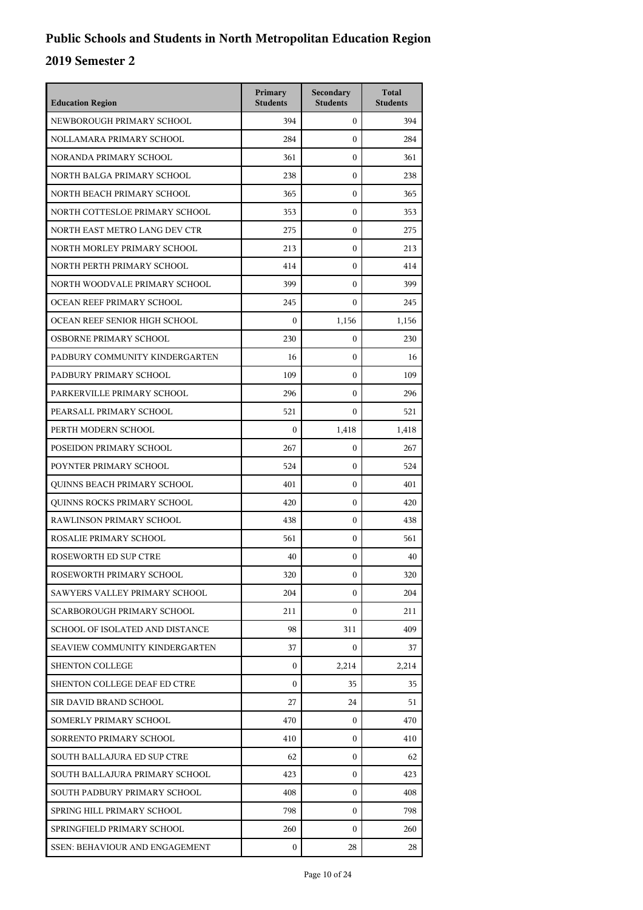| <b>Education Region</b>               | Primary<br><b>Students</b> | Secondary<br><b>Students</b> | <b>Total</b><br><b>Students</b> |
|---------------------------------------|----------------------------|------------------------------|---------------------------------|
| NEWBOROUGH PRIMARY SCHOOL             | 394                        | $\overline{0}$               | 394                             |
| NOLLAMARA PRIMARY SCHOOL              | 284                        | $\mathbf{0}$                 | 284                             |
| NORANDA PRIMARY SCHOOL                | 361                        | $\mathbf{0}$                 | 361                             |
| NORTH BALGA PRIMARY SCHOOL            | 238                        | $\mathbf{0}$                 | 238                             |
| NORTH BEACH PRIMARY SCHOOL            | 365                        | $\mathbf{0}$                 | 365                             |
| NORTH COTTESLOE PRIMARY SCHOOL        | 353                        | $\mathbf{0}$                 | 353                             |
| NORTH EAST METRO LANG DEV CTR         | 275                        | $\mathbf{0}$                 | 275                             |
| NORTH MORLEY PRIMARY SCHOOL           | 213                        | $\mathbf{0}$                 | 213                             |
| NORTH PERTH PRIMARY SCHOOL            | 414                        | $\mathbf{0}$                 | 414                             |
| NORTH WOODVALE PRIMARY SCHOOL         | 399                        | $\mathbf{0}$                 | 399                             |
| OCEAN REEF PRIMARY SCHOOL             | 245                        | $\mathbf{0}$                 | 245                             |
| OCEAN REEF SENIOR HIGH SCHOOL         | $\mathbf{0}$               | 1,156                        | 1,156                           |
| OSBORNE PRIMARY SCHOOL                | 230                        | $\mathbf{0}$                 | 230                             |
| PADBURY COMMUNITY KINDERGARTEN        | 16                         | $\mathbf{0}$                 | 16                              |
| PADBURY PRIMARY SCHOOL                | 109                        | $\mathbf{0}$                 | 109                             |
| PARKERVILLE PRIMARY SCHOOL            | 296                        | $\mathbf{0}$                 | 296                             |
| PEARSALL PRIMARY SCHOOL               | 521                        | $\Omega$                     | 521                             |
| PERTH MODERN SCHOOL                   | $\mathbf{0}$               | 1,418                        | 1,418                           |
| POSEIDON PRIMARY SCHOOL               | 267                        | $\mathbf{0}$                 | 267                             |
| POYNTER PRIMARY SCHOOL                | 524                        | $\mathbf{0}$                 | 524                             |
| QUINNS BEACH PRIMARY SCHOOL           | 401                        | $\mathbf{0}$                 | 401                             |
| QUINNS ROCKS PRIMARY SCHOOL           | 420                        | $\mathbf{0}$                 | 420                             |
| RAWLINSON PRIMARY SCHOOL              | 438                        | $\mathbf{0}$                 | 438                             |
| ROSALIE PRIMARY SCHOOL                | 561                        | $\mathbf{0}$                 | 561                             |
| ROSEWORTH ED SUP CTRE                 | 40                         | $\mathbf{0}$                 | 40                              |
| ROSEWORTH PRIMARY SCHOOL              | 320                        | 0                            | 320                             |
| SAWYERS VALLEY PRIMARY SCHOOL         | 204                        | $\mathbf{0}$                 | 204                             |
| SCARBOROUGH PRIMARY SCHOOL            | 211                        | $\mathbf{0}$                 | 211                             |
| SCHOOL OF ISOLATED AND DISTANCE       | 98                         | 311                          | 409                             |
| SEAVIEW COMMUNITY KINDERGARTEN        | 37                         | $\mathbf{0}$                 | 37                              |
| <b>SHENTON COLLEGE</b>                | $\mathbf{0}$               | 2,214                        | 2.214                           |
| SHENTON COLLEGE DEAF ED CTRE          | $\mathbf{0}$               | 35                           | 35                              |
| SIR DAVID BRAND SCHOOL                | 27                         | 24                           | 51                              |
| SOMERLY PRIMARY SCHOOL                | 470                        | 0                            | 470                             |
| SORRENTO PRIMARY SCHOOL               | 410                        | $\mathbf{0}$                 | 410                             |
| SOUTH BALLAJURA ED SUP CTRE           | 62                         | $\mathbf{0}$                 | 62                              |
| SOUTH BALLAJURA PRIMARY SCHOOL        | 423                        | $\mathbf{0}$                 | 423                             |
| SOUTH PADBURY PRIMARY SCHOOL          | 408                        | $\mathbf{0}$                 | 408                             |
| SPRING HILL PRIMARY SCHOOL            | 798                        | $\mathbf{0}$                 | 798                             |
| SPRINGFIELD PRIMARY SCHOOL            | 260                        | $\mathbf{0}$                 | 260                             |
| <b>SSEN: BEHAVIOUR AND ENGAGEMENT</b> | 0                          | 28                           | 28                              |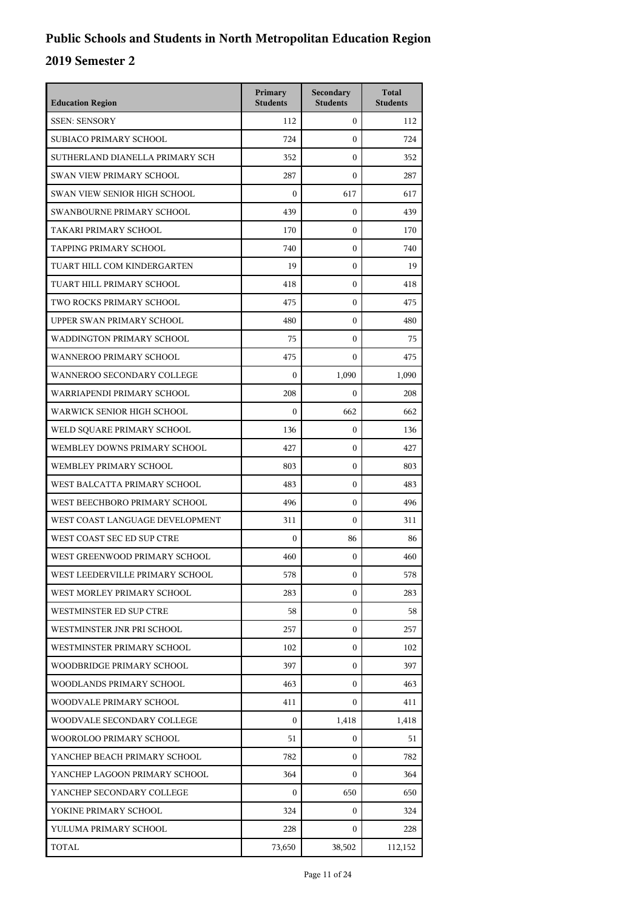| <b>Education Region</b>         | Primary<br><b>Students</b> | Secondary<br><b>Students</b> | <b>Total</b><br><b>Students</b> |
|---------------------------------|----------------------------|------------------------------|---------------------------------|
| <b>SSEN: SENSORY</b>            | 112                        | $\mathbf{0}$                 | 112                             |
| SUBIACO PRIMARY SCHOOL          | 724                        | $\mathbf{0}$                 | 724                             |
| SUTHERLAND DIANELLA PRIMARY SCH | 352                        | $\mathbf{0}$                 | 352                             |
| <b>SWAN VIEW PRIMARY SCHOOL</b> | 287                        | $\mathbf{0}$                 | 287                             |
| SWAN VIEW SENIOR HIGH SCHOOL    | $\Omega$                   | 617                          | 617                             |
| SWANBOURNE PRIMARY SCHOOL       | 439                        | $\mathbf{0}$                 | 439                             |
| TAKARI PRIMARY SCHOOL           | 170                        | $\mathbf{0}$                 | 170                             |
| <b>TAPPING PRIMARY SCHOOL</b>   | 740                        | $\mathbf{0}$                 | 740                             |
| TUART HILL COM KINDERGARTEN     | 19                         | $\mathbf{0}$                 | 19                              |
| TUART HILL PRIMARY SCHOOL       | 418                        | $\mathbf{0}$                 | 418                             |
| TWO ROCKS PRIMARY SCHOOL        | 475                        | $\mathbf{0}$                 | 475                             |
| UPPER SWAN PRIMARY SCHOOL       | 480                        | $\mathbf{0}$                 | 480                             |
| WADDINGTON PRIMARY SCHOOL       | 75                         | $\mathbf{0}$                 | 75                              |
| WANNEROO PRIMARY SCHOOL         | 475                        | $\mathbf{0}$                 | 475                             |
| WANNEROO SECONDARY COLLEGE      | $\boldsymbol{0}$           | 1,090                        | 1,090                           |
| WARRIAPENDI PRIMARY SCHOOL      | 208                        | $\mathbf{0}$                 | 208                             |
| WARWICK SENIOR HIGH SCHOOL      | $\boldsymbol{0}$           | 662                          | 662                             |
| WELD SQUARE PRIMARY SCHOOL      | 136                        | $\mathbf{0}$                 | 136                             |
| WEMBLEY DOWNS PRIMARY SCHOOL    | 427                        | $\mathbf{0}$                 | 427                             |
| WEMBLEY PRIMARY SCHOOL          | 803                        | $\mathbf{0}$                 | 803                             |
| WEST BALCATTA PRIMARY SCHOOL    | 483                        | $\mathbf{0}$                 | 483                             |
| WEST BEECHBORO PRIMARY SCHOOL   | 496                        | $\mathbf{0}$                 | 496                             |
| WEST COAST LANGUAGE DEVELOPMENT | 311                        | $\mathbf{0}$                 | 311                             |
| WEST COAST SEC ED SUP CTRE      | $\boldsymbol{0}$           | 86                           | 86                              |
| WEST GREENWOOD PRIMARY SCHOOL   | 460                        | $\mathbf{0}$                 | 460                             |
| WEST LEEDERVILLE PRIMARY SCHOOL | 578                        | $\boldsymbol{0}$             | 578                             |
| WEST MORLEY PRIMARY SCHOOL      | 283                        | $\overline{0}$               | 283                             |
| WESTMINSTER ED SUP CTRE         | 58                         | $\mathbf{0}$                 | 58                              |
| WESTMINSTER JNR PRI SCHOOL      | 257                        | 0                            | 257                             |
| WESTMINSTER PRIMARY SCHOOL      | 102                        | $\overline{0}$               | 102                             |
| WOODBRIDGE PRIMARY SCHOOL       | 397                        | $\mathbf{0}$                 | 397                             |
| WOODLANDS PRIMARY SCHOOL        | 463                        | $\mathbf{0}$                 | 463                             |
| WOODVALE PRIMARY SCHOOL         | 411                        | $\mathbf{0}$                 | 411                             |
| WOODVALE SECONDARY COLLEGE      | $\boldsymbol{0}$           | 1,418                        | 1,418                           |
| WOOROLOO PRIMARY SCHOOL         | 51                         | 0                            | 51                              |
| YANCHEP BEACH PRIMARY SCHOOL    | 782                        | $\mathbf{0}$                 | 782                             |
| YANCHEP LAGOON PRIMARY SCHOOL   | 364                        | $\mathbf{0}$                 | 364                             |
| YANCHEP SECONDARY COLLEGE       | $\boldsymbol{0}$           | 650                          | 650                             |
| YOKINE PRIMARY SCHOOL           | 324                        | 0                            | 324                             |
| YULUMA PRIMARY SCHOOL           | 228                        | $\overline{0}$               | 228                             |
| TOTAL                           | 73,650                     | 38,502                       | 112,152                         |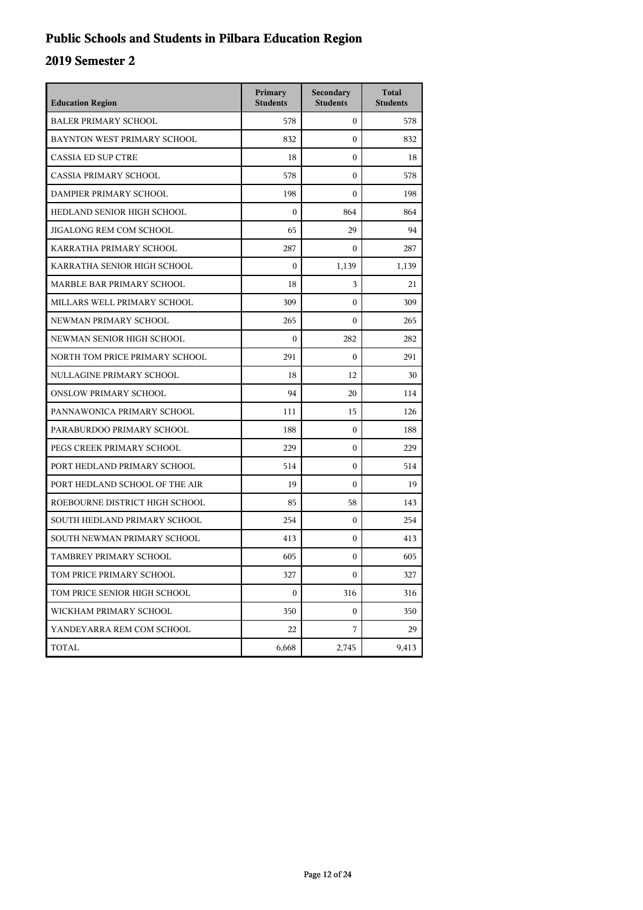## **Public Schools and Students in Pilbara Education Region**

| <b>Education Region</b>        | Primary<br><b>Students</b> | Secondary<br><b>Students</b> | <b>Total</b><br><b>Students</b> |
|--------------------------------|----------------------------|------------------------------|---------------------------------|
| <b>BALER PRIMARY SCHOOL</b>    | 578                        | $\mathbf{0}$                 | 578                             |
| BAYNTON WEST PRIMARY SCHOOL    | 832                        | $\theta$                     | 832                             |
| <b>CASSIA ED SUP CTRE</b>      | 18                         | $\theta$                     | 18                              |
| <b>CASSIA PRIMARY SCHOOL</b>   | 578                        | $\mathbf{0}$                 | 578                             |
| DAMPIER PRIMARY SCHOOL         | 198                        | $\boldsymbol{0}$             | 198                             |
| HEDLAND SENIOR HIGH SCHOOL     | $\boldsymbol{0}$           | 864                          | 864                             |
| <b>JIGALONG REM COM SCHOOL</b> | 65                         | 29                           | 94                              |
| KARRATHA PRIMARY SCHOOL        | 287                        | $\Omega$                     | 287                             |
| KARRATHA SENIOR HIGH SCHOOL    | $\boldsymbol{0}$           | 1,139                        | 1,139                           |
| MARBLE BAR PRIMARY SCHOOL      | 18                         | 3                            | 21                              |
| MILLARS WELL PRIMARY SCHOOL    | 309                        | $\mathbf{0}$                 | 309                             |
| NEWMAN PRIMARY SCHOOL          | 265                        | $\theta$                     | 265                             |
| NEWMAN SENIOR HIGH SCHOOL      | $\boldsymbol{0}$           | 282                          | 282                             |
| NORTH TOM PRICE PRIMARY SCHOOL | 291                        | $\mathbf{0}$                 | 291                             |
| NULLAGINE PRIMARY SCHOOL       | 18                         | 12                           | 30                              |
| <b>ONSLOW PRIMARY SCHOOL</b>   | 94                         | 20                           | 114                             |
| PANNAWONICA PRIMARY SCHOOL     | 111                        | 15                           | 126                             |
| PARABURDOO PRIMARY SCHOOL      | 188                        | $\mathbf{0}$                 | 188                             |
| PEGS CREEK PRIMARY SCHOOL      | 229                        | $\mathbf{0}$                 | 229                             |
| PORT HEDLAND PRIMARY SCHOOL    | 514                        | $\mathbf{0}$                 | 514                             |
| PORT HEDLAND SCHOOL OF THE AIR | 19                         | $\Omega$                     | 19                              |
| ROEBOURNE DISTRICT HIGH SCHOOL | 85                         | 58                           | 143                             |
| SOUTH HEDLAND PRIMARY SCHOOL   | 254                        | $\mathbf{0}$                 | 254                             |
| SOUTH NEWMAN PRIMARY SCHOOL    | 413                        | $\mathbf{0}$                 | 413                             |
| TAMBREY PRIMARY SCHOOL         | 605                        | $\mathbf{0}$                 | 605                             |
| TOM PRICE PRIMARY SCHOOL       | 327                        | $\boldsymbol{0}$             | 327                             |
| TOM PRICE SENIOR HIGH SCHOOL   | $\boldsymbol{0}$           | 316                          | 316                             |
| WICKHAM PRIMARY SCHOOL         | 350                        | 0                            | 350                             |
| YANDEYARRA REM COM SCHOOL      | 22                         | 7                            | 29                              |
| TOTAL                          | 6,668                      | 2,745                        | 9,413                           |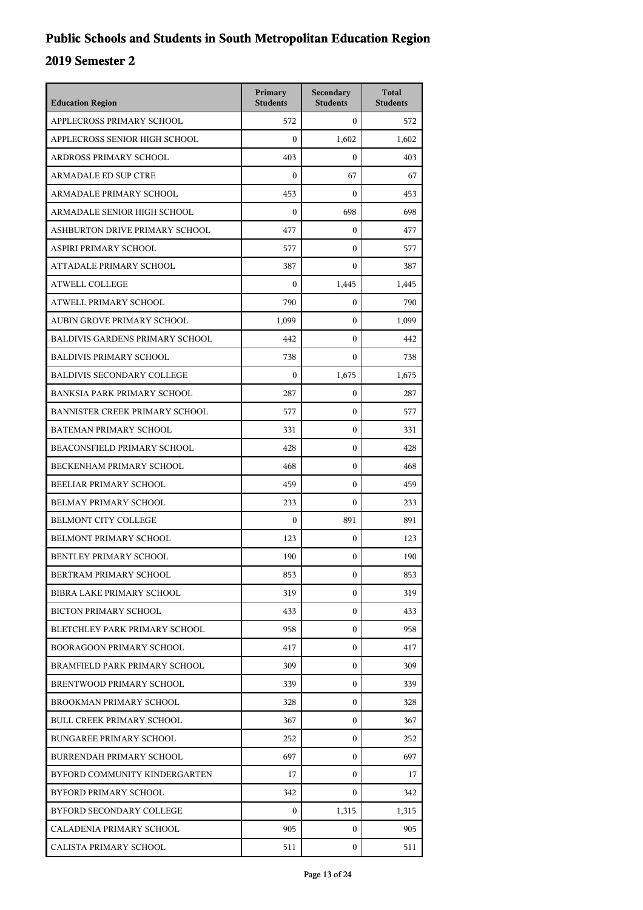| <b>Education Region</b>                | Primary<br><b>Students</b> | Secondary<br><b>Students</b> | <b>Total</b><br><b>Students</b> |
|----------------------------------------|----------------------------|------------------------------|---------------------------------|
| APPLECROSS PRIMARY SCHOOL              | 572                        | $\mathbf{0}$                 | 572                             |
| APPLECROSS SENIOR HIGH SCHOOL          | $\mathbf{0}$               | 1,602                        | 1,602                           |
| ARDROSS PRIMARY SCHOOL                 | 403                        | $\Omega$                     | 403                             |
| <b>ARMADALE ED SUP CTRE</b>            | $\mathbf{0}$               | 67                           | 67                              |
| ARMADALE PRIMARY SCHOOL                | 453                        | $\Omega$                     | 453                             |
| ARMADALE SENIOR HIGH SCHOOL            | $\mathbf{0}$               | 698                          | 698                             |
| ASHBURTON DRIVE PRIMARY SCHOOL         | 477                        | $\mathbf{0}$                 | 477                             |
| ASPIRI PRIMARY SCHOOL                  | 577                        | $\theta$                     | 577                             |
| ATTADALE PRIMARY SCHOOL                | 387                        | $\mathbf{0}$                 | 387                             |
| <b>ATWELL COLLEGE</b>                  | $\boldsymbol{0}$           | 1,445                        | 1,445                           |
| ATWELL PRIMARY SCHOOL                  | 790                        | $\mathbf{0}$                 | 790                             |
| AUBIN GROVE PRIMARY SCHOOL             | 1,099                      | $\mathbf{0}$                 | 1,099                           |
| <b>BALDIVIS GARDENS PRIMARY SCHOOL</b> | 442                        | $\theta$                     | 442                             |
| <b>BALDIVIS PRIMARY SCHOOL</b>         | 738                        | $\mathbf{0}$                 | 738                             |
| <b>BALDIVIS SECONDARY COLLEGE</b>      | $\boldsymbol{0}$           | 1.675                        | 1,675                           |
| <b>BANKSIA PARK PRIMARY SCHOOL</b>     | 287                        | $\mathbf{0}$                 | 287                             |
| <b>BANNISTER CREEK PRIMARY SCHOOL</b>  | 577                        | $\boldsymbol{0}$             | 577                             |
| BATEMAN PRIMARY SCHOOL                 | 331                        | $\mathbf{0}$                 | 331                             |
| BEACONSFIELD PRIMARY SCHOOL            | 428                        | $\boldsymbol{0}$             | 428                             |
| BECKENHAM PRIMARY SCHOOL               | 468                        | $\boldsymbol{0}$             | 468                             |
| BEELIAR PRIMARY SCHOOL                 | 459                        | $\mathbf{0}$                 | 459                             |
| BELMAY PRIMARY SCHOOL                  | 233                        | $\boldsymbol{0}$             | 233                             |
| <b>BELMONT CITY COLLEGE</b>            | $\mathbf{0}$               | 891                          | 891                             |
| BELMONT PRIMARY SCHOOL                 | 123                        | $\boldsymbol{0}$             | 123                             |
| BENTLEY PRIMARY SCHOOL                 | 190                        | $\boldsymbol{0}$             | 190                             |
| BERTRAM PRIMARY SCHOOL                 | 853                        | 0                            | 853                             |
| BIBRA LAKE PRIMARY SCHOOL              | 319                        | $\mathbf{0}$                 | 319                             |
| <b>BICTON PRIMARY SCHOOL</b>           | 433                        | $\mathbf{0}$                 | 433                             |
| BLETCHLEY PARK PRIMARY SCHOOL          | 958                        | 0                            | 958                             |
| <b>BOORAGOON PRIMARY SCHOOL</b>        | 417                        | $\mathbf{0}$                 | 417                             |
| BRAMFIELD PARK PRIMARY SCHOOL          | 309                        | 0                            | 309                             |
| BRENTWOOD PRIMARY SCHOOL               | 339                        | $\mathbf{0}$                 | 339                             |
| <b>BROOKMAN PRIMARY SCHOOL</b>         | 328                        | $\mathbf{0}$                 | 328                             |
| <b>BULL CREEK PRIMARY SCHOOL</b>       | 367                        | 0                            | 367                             |
| <b>BUNGAREE PRIMARY SCHOOL</b>         | 252                        | $\mathbf{0}$                 | 252                             |
| BURRENDAH PRIMARY SCHOOL               | 697                        | 0                            | 697                             |
| BYFORD COMMUNITY KINDERGARTEN          | 17                         | $\mathbf{0}$                 | 17                              |
| BYFORD PRIMARY SCHOOL                  | 342                        | 0                            | 342                             |
| BYFORD SECONDARY COLLEGE               | $\overline{0}$             | 1,315                        | 1,315                           |
| CALADENIA PRIMARY SCHOOL               | 905                        | $\mathbf{0}$                 | 905                             |
| CALISTA PRIMARY SCHOOL                 | 511                        | 0                            | 511                             |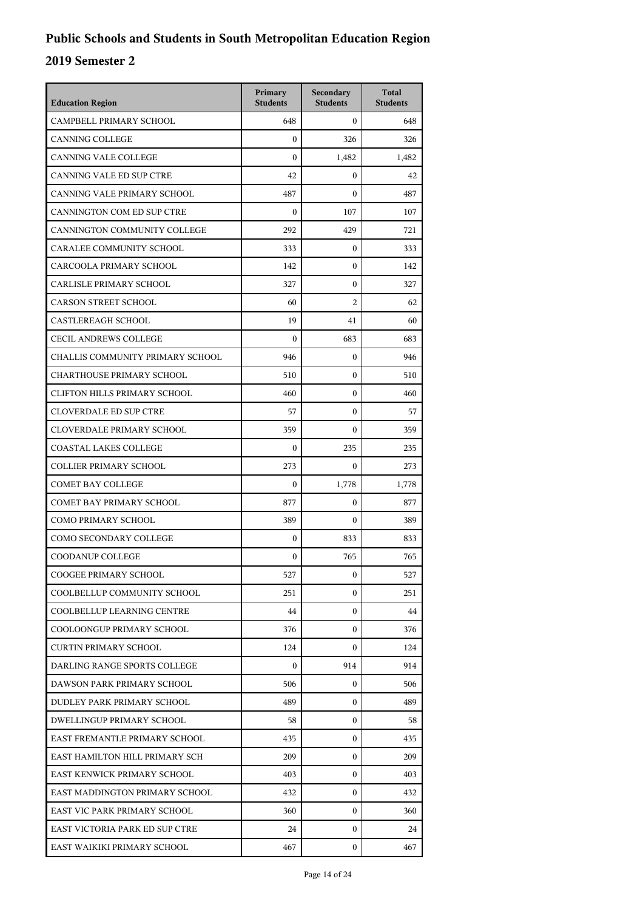| <b>Education Region</b>             | Primary<br><b>Students</b> | Secondary<br><b>Students</b> | <b>Total</b><br><b>Students</b> |
|-------------------------------------|----------------------------|------------------------------|---------------------------------|
| CAMPBELL PRIMARY SCHOOL             | 648                        | $\mathbf{0}$                 | 648                             |
| <b>CANNING COLLEGE</b>              | $\mathbf{0}$               | 326                          | 326                             |
| <b>CANNING VALE COLLEGE</b>         | $\mathbf{0}$               | 1,482                        | 1,482                           |
| <b>CANNING VALE ED SUP CTRE</b>     | 42                         | $\mathbf{0}$                 | 42                              |
| CANNING VALE PRIMARY SCHOOL         | 487                        | $\Omega$                     | 487                             |
| CANNINGTON COM ED SUP CTRE          | $\mathbf{0}$               | 107                          | 107                             |
| CANNINGTON COMMUNITY COLLEGE        | 292                        | 429                          | 721                             |
| CARALEE COMMUNITY SCHOOL            | 333                        | $\mathbf{0}$                 | 333                             |
| CARCOOLA PRIMARY SCHOOL             | 142                        | $\mathbf{0}$                 | 142                             |
| CARLISLE PRIMARY SCHOOL             | 327                        | $\mathbf{0}$                 | 327                             |
| <b>CARSON STREET SCHOOL</b>         | 60                         | $\overline{2}$               | 62                              |
| <b>CASTLEREAGH SCHOOL</b>           | 19                         | 41                           | 60                              |
| <b>CECIL ANDREWS COLLEGE</b>        | $\mathbf{0}$               | 683                          | 683                             |
| CHALLIS COMMUNITY PRIMARY SCHOOL    | 946                        | $\mathbf{0}$                 | 946                             |
| <b>CHARTHOUSE PRIMARY SCHOOL</b>    | 510                        | $\mathbf{0}$                 | 510                             |
| <b>CLIFTON HILLS PRIMARY SCHOOL</b> | 460                        | $\mathbf{0}$                 | 460                             |
| <b>CLOVERDALE ED SUP CTRE</b>       | 57                         | $\mathbf{0}$                 | 57                              |
| CLOVERDALE PRIMARY SCHOOL           | 359                        | $\mathbf{0}$                 | 359                             |
| <b>COASTAL LAKES COLLEGE</b>        | $\mathbf{0}$               | 235                          | 235                             |
| <b>COLLIER PRIMARY SCHOOL</b>       | 273                        | $\mathbf{0}$                 | 273                             |
| <b>COMET BAY COLLEGE</b>            | $\mathbf{0}$               | 1,778                        | 1,778                           |
| <b>COMET BAY PRIMARY SCHOOL</b>     | 877                        | $\mathbf{0}$                 | 877                             |
| COMO PRIMARY SCHOOL                 | 389                        | $\mathbf{0}$                 | 389                             |
| COMO SECONDARY COLLEGE              | $\mathbf{0}$               | 833                          | 833                             |
| COODANUP COLLEGE                    | $\mathbf{0}$               | 765                          | 765                             |
| <b>COOGEE PRIMARY SCHOOL</b>        | 527                        | 0                            | 527                             |
| COOLBELLUP COMMUNITY SCHOOL         | 251                        | $\mathbf{0}$                 | 251                             |
| COOLBELLUP LEARNING CENTRE          | 44                         | $\mathbf{0}$                 | 44                              |
| COOLOONGUP PRIMARY SCHOOL           | 376                        | $\mathbf{0}$                 | 376                             |
| <b>CURTIN PRIMARY SCHOOL</b>        | 124                        | $\Omega$                     | 124                             |
| DARLING RANGE SPORTS COLLEGE        | $\mathbf{0}$               | 914                          | 914                             |
| DAWSON PARK PRIMARY SCHOOL          | 506                        | $\mathbf{0}$                 | 506                             |
| DUDLEY PARK PRIMARY SCHOOL          | 489                        | $\mathbf{0}$                 | 489                             |
| DWELLINGUP PRIMARY SCHOOL           | 58                         | $\mathbf{0}$                 | 58                              |
| EAST FREMANTLE PRIMARY SCHOOL       | 435                        | $\mathbf{0}$                 | 435                             |
| EAST HAMILTON HILL PRIMARY SCH      | 209                        | $\mathbf{0}$                 | 209                             |
| EAST KENWICK PRIMARY SCHOOL         | 403                        | $\mathbf{0}$                 | 403                             |
| EAST MADDINGTON PRIMARY SCHOOL      | 432                        | $\mathbf{0}$                 | 432                             |
| EAST VIC PARK PRIMARY SCHOOL        | 360                        | $\mathbf{0}$                 | 360                             |
| EAST VICTORIA PARK ED SUP CTRE      | 24                         | $\mathbf{0}$                 | 24                              |
| EAST WAIKIKI PRIMARY SCHOOL         | 467                        | $\mathbf{0}$                 | 467                             |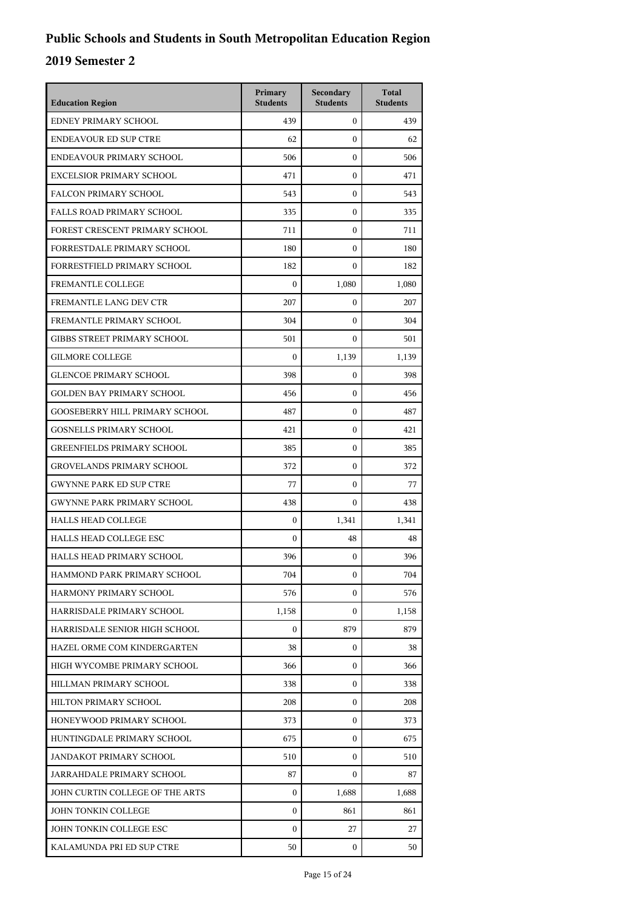| <b>Education Region</b>               | Primary<br><b>Students</b> | Secondary<br><b>Students</b> | <b>Total</b><br><b>Students</b> |
|---------------------------------------|----------------------------|------------------------------|---------------------------------|
| EDNEY PRIMARY SCHOOL                  | 439                        | $\mathbf{0}$                 | 439                             |
| <b>ENDEAVOUR ED SUP CTRE</b>          | 62                         | $\mathbf{0}$                 | 62                              |
| ENDEAVOUR PRIMARY SCHOOL              | 506                        | $\boldsymbol{0}$             | 506                             |
| <b>EXCELSIOR PRIMARY SCHOOL</b>       | 471                        | $\boldsymbol{0}$             | 471                             |
| <b>FALCON PRIMARY SCHOOL</b>          | 543                        | $\theta$                     | 543                             |
| <b>FALLS ROAD PRIMARY SCHOOL</b>      | 335                        | $\mathbf{0}$                 | 335                             |
| FOREST CRESCENT PRIMARY SCHOOL        | 711                        | $\boldsymbol{0}$             | 711                             |
| FORRESTDALE PRIMARY SCHOOL            | 180                        | $\boldsymbol{0}$             | 180                             |
| FORRESTFIELD PRIMARY SCHOOL           | 182                        | $\boldsymbol{0}$             | 182                             |
| FREMANTLE COLLEGE                     | $\boldsymbol{0}$           | 1,080                        | 1,080                           |
| FREMANTLE LANG DEV CTR                | 207                        | $\mathbf{0}$                 | 207                             |
| FREMANTLE PRIMARY SCHOOL              | 304                        | $\boldsymbol{0}$             | 304                             |
| <b>GIBBS STREET PRIMARY SCHOOL</b>    | 501                        | $\mathbf{0}$                 | 501                             |
| <b>GILMORE COLLEGE</b>                | $\boldsymbol{0}$           | 1,139                        | 1,139                           |
| <b>GLENCOE PRIMARY SCHOOL</b>         | 398                        | $\boldsymbol{0}$             | 398                             |
| <b>GOLDEN BAY PRIMARY SCHOOL</b>      | 456                        | $\mathbf{0}$                 | 456                             |
| <b>GOOSEBERRY HILL PRIMARY SCHOOL</b> | 487                        | $\boldsymbol{0}$             | 487                             |
| <b>GOSNELLS PRIMARY SCHOOL</b>        | 421                        | $\boldsymbol{0}$             | 421                             |
| <b>GREENFIELDS PRIMARY SCHOOL</b>     | 385                        | $\mathbf{0}$                 | 385                             |
| <b>GROVELANDS PRIMARY SCHOOL</b>      | 372                        | $\boldsymbol{0}$             | 372                             |
| <b>GWYNNE PARK ED SUP CTRE</b>        | 77                         | $\mathbf{0}$                 | 77                              |
| <b>GWYNNE PARK PRIMARY SCHOOL</b>     | 438                        | $\boldsymbol{0}$             | 438                             |
| <b>HALLS HEAD COLLEGE</b>             | $\overline{0}$             | 1,341                        | 1,341                           |
| <b>HALLS HEAD COLLEGE ESC</b>         | $\boldsymbol{0}$           | 48                           | 48                              |
| HALLS HEAD PRIMARY SCHOOL             | 396                        | $\mathbf{0}$                 | 396                             |
| HAMMOND PARK PRIMARY SCHOOL           | 704                        | 0                            | 704                             |
| HARMONY PRIMARY SCHOOL                | 576                        | $\mathbf{0}$                 | 576                             |
| HARRISDALE PRIMARY SCHOOL             | 1,158                      | $\mathbf{0}$                 | 1,158                           |
| HARRISDALE SENIOR HIGH SCHOOL         | $\overline{0}$             | 879                          | 879                             |
| HAZEL ORME COM KINDERGARTEN           | 38                         | 0                            | 38                              |
| HIGH WYCOMBE PRIMARY SCHOOL           | 366                        | $\mathbf{0}$                 | 366                             |
| HILLMAN PRIMARY SCHOOL                | 338                        | $\mathbf{0}$                 | 338                             |
| HILTON PRIMARY SCHOOL                 | 208                        | $\mathbf{0}$                 | 208                             |
| HONEYWOOD PRIMARY SCHOOL              | 373                        | 0                            | 373                             |
| HUNTINGDALE PRIMARY SCHOOL            | 675                        | 0                            | 675                             |
| JANDAKOT PRIMARY SCHOOL               | 510                        | $\mathbf{0}$                 | 510                             |
| JARRAHDALE PRIMARY SCHOOL             | 87                         | $\mathbf{0}$                 | 87                              |
| JOHN CURTIN COLLEGE OF THE ARTS       | $\overline{0}$             | 1,688                        | 1,688                           |
| JOHN TONKIN COLLEGE                   | $\overline{0}$             | 861                          | 861                             |
| JOHN TONKIN COLLEGE ESC               | $\mathbf{0}$               | 27                           | 27                              |
| KALAMUNDA PRI ED SUP CTRE             | 50                         | 0                            | 50                              |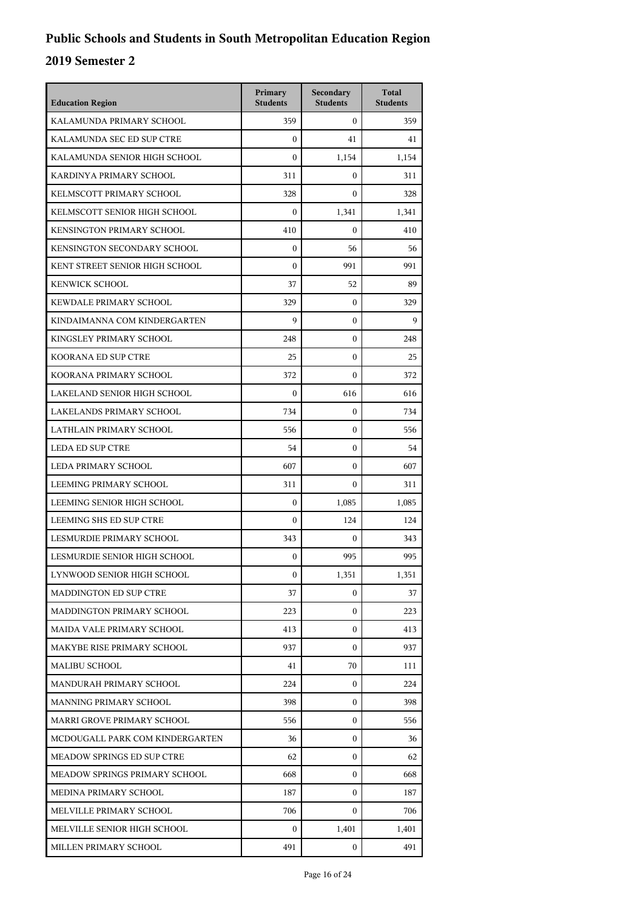| <b>Education Region</b>          | Primary<br><b>Students</b> | Secondary<br><b>Students</b> | <b>Total</b><br><b>Students</b> |
|----------------------------------|----------------------------|------------------------------|---------------------------------|
| KALAMUNDA PRIMARY SCHOOL         | 359                        | $\mathbf{0}$                 | 359                             |
| KALAMUNDA SEC ED SUP CTRE        | $\overline{0}$             | 41                           | 41                              |
| KALAMUNDA SENIOR HIGH SCHOOL     | $\mathbf{0}$               | 1,154                        | 1,154                           |
| KARDINYA PRIMARY SCHOOL          | 311                        | 0                            | 311                             |
| KELMSCOTT PRIMARY SCHOOL         | 328                        | $\theta$                     | 328                             |
| KELMSCOTT SENIOR HIGH SCHOOL     | $\overline{0}$             | 1,341                        | 1,341                           |
| <b>KENSINGTON PRIMARY SCHOOL</b> | 410                        | 0                            | 410                             |
| KENSINGTON SECONDARY SCHOOL      | $\overline{0}$             | 56                           | 56                              |
| KENT STREET SENIOR HIGH SCHOOL   | $\boldsymbol{0}$           | 991                          | 991                             |
| <b>KENWICK SCHOOL</b>            | 37                         | 52                           | 89                              |
| KEWDALE PRIMARY SCHOOL           | 329                        | $\mathbf{0}$                 | 329                             |
| KINDAIMANNA COM KINDERGARTEN     | 9                          | 0                            | 9                               |
| KINGSLEY PRIMARY SCHOOL          | 248                        | $\overline{0}$               | 248                             |
| KOORANA ED SUP CTRE              | 25                         | 0                            | 25                              |
| KOORANA PRIMARY SCHOOL           | 372                        | 0                            | 372                             |
| LAKELAND SENIOR HIGH SCHOOL      | $\overline{0}$             | 616                          | 616                             |
| <b>LAKELANDS PRIMARY SCHOOL</b>  | 734                        | 0                            | 734                             |
| LATHLAIN PRIMARY SCHOOL          | 556                        | $\overline{0}$               | 556                             |
| <b>LEDA ED SUP CTRE</b>          | 54                         | 0                            | 54                              |
| LEDA PRIMARY SCHOOL              | 607                        | 0                            | 607                             |
| LEEMING PRIMARY SCHOOL           | 311                        | $\mathbf{0}$                 | 311                             |
| LEEMING SENIOR HIGH SCHOOL       | $\mathbf{0}$               | 1.085                        | 1,085                           |
| LEEMING SHS ED SUP CTRE          | $\mathbf{0}$               | 124                          | 124                             |
| LESMURDIE PRIMARY SCHOOL         | 343                        | 0                            | 343                             |
| LESMURDIE SENIOR HIGH SCHOOL     | $\mathbf{0}$               | 995                          | 995                             |
| LYNWOOD SENIOR HIGH SCHOOL       | $\boldsymbol{0}$           | 1,351                        | 1,351                           |
| MADDINGTON ED SUP CTRE           | 37                         | 0                            | 37                              |
| MADDINGTON PRIMARY SCHOOL        | 223                        | $\overline{0}$               | 223                             |
| MAIDA VALE PRIMARY SCHOOL        | 413                        | 0                            | 413                             |
| MAKYBE RISE PRIMARY SCHOOL       | 937                        | 0                            | 937                             |
| <b>MALIBU SCHOOL</b>             | 41                         | 70                           | 111                             |
| MANDURAH PRIMARY SCHOOL          | 224                        | $\mathbf{0}$                 | 224                             |
| MANNING PRIMARY SCHOOL           | 398                        | 0                            | 398                             |
| MARRI GROVE PRIMARY SCHOOL       | 556                        | 0                            | 556                             |
| MCDOUGALL PARK COM KINDERGARTEN  | 36                         | 0                            | 36                              |
| MEADOW SPRINGS ED SUP CTRE       | 62                         | 0                            | 62                              |
| MEADOW SPRINGS PRIMARY SCHOOL    | 668                        | 0                            | 668                             |
| MEDINA PRIMARY SCHOOL            | 187                        | 0                            | 187                             |
| MELVILLE PRIMARY SCHOOL          | 706                        | 0                            | 706                             |
| MELVILLE SENIOR HIGH SCHOOL      | $\mathbf{0}$               | 1,401                        | 1,401                           |
| MILLEN PRIMARY SCHOOL            | 491                        | $\mathbf{0}$                 | 491                             |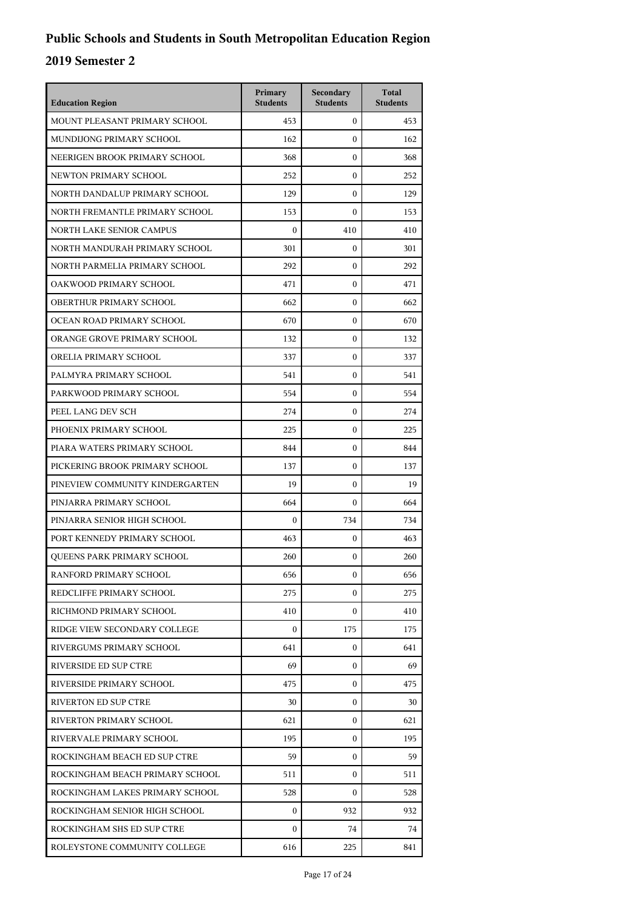| <b>Education Region</b>         | Primary<br><b>Students</b> | Secondary<br><b>Students</b> | <b>Total</b><br><b>Students</b> |
|---------------------------------|----------------------------|------------------------------|---------------------------------|
| MOUNT PLEASANT PRIMARY SCHOOL   | 453                        | $\mathbf{0}$                 | 453                             |
| MUNDIJONG PRIMARY SCHOOL        | 162                        | $\mathbf{0}$                 | 162                             |
| NEERIGEN BROOK PRIMARY SCHOOL   | 368                        | $\boldsymbol{0}$             | 368                             |
| NEWTON PRIMARY SCHOOL           | 252                        | $\boldsymbol{0}$             | 252                             |
| NORTH DANDALUP PRIMARY SCHOOL   | 129                        | $\mathbf{0}$                 | 129                             |
| NORTH FREMANTLE PRIMARY SCHOOL  | 153                        | $\boldsymbol{0}$             | 153                             |
| <b>NORTH LAKE SENIOR CAMPUS</b> | $\boldsymbol{0}$           | 410                          | 410                             |
| NORTH MANDURAH PRIMARY SCHOOL   | 301                        | $\boldsymbol{0}$             | 301                             |
| NORTH PARMELIA PRIMARY SCHOOL   | 292                        | $\boldsymbol{0}$             | 292                             |
| OAKWOOD PRIMARY SCHOOL          | 471                        | $\mathbf{0}$                 | 471                             |
| OBERTHUR PRIMARY SCHOOL         | 662                        | $\mathbf{0}$                 | 662                             |
| OCEAN ROAD PRIMARY SCHOOL       | 670                        | $\mathbf{0}$                 | 670                             |
| ORANGE GROVE PRIMARY SCHOOL     | 132                        | $\mathbf{0}$                 | 132                             |
| ORELIA PRIMARY SCHOOL           | 337                        | $\mathbf{0}$                 | 337                             |
| PALMYRA PRIMARY SCHOOL          | 541                        | $\mathbf{0}$                 | 541                             |
| PARKWOOD PRIMARY SCHOOL         | 554                        | $\mathbf{0}$                 | 554                             |
| PEEL LANG DEV SCH               | 274                        | $\mathbf{0}$                 | 274                             |
| PHOENIX PRIMARY SCHOOL          | 225                        | $\mathbf{0}$                 | 225                             |
| PIARA WATERS PRIMARY SCHOOL     | 844                        | $\mathbf{0}$                 | 844                             |
| PICKERING BROOK PRIMARY SCHOOL  | 137                        | $\mathbf{0}$                 | 137                             |
| PINEVIEW COMMUNITY KINDERGARTEN | 19                         | $\mathbf{0}$                 | 19                              |
| PINJARRA PRIMARY SCHOOL         | 664                        | $\mathbf{0}$                 | 664                             |
| PINJARRA SENIOR HIGH SCHOOL     | $\boldsymbol{0}$           | 734                          | 734                             |
| PORT KENNEDY PRIMARY SCHOOL     | 463                        | $\mathbf{0}$                 | 463                             |
| QUEENS PARK PRIMARY SCHOOL      | 260                        | $\mathbf{0}$                 | 260                             |
| RANFORD PRIMARY SCHOOL          | 656                        | 0                            | 656                             |
| REDCLIFFE PRIMARY SCHOOL        | 275                        | $\mathbf{0}$                 | 275                             |
| RICHMOND PRIMARY SCHOOL         | 410                        | $\mathbf{0}$                 | 410                             |
| RIDGE VIEW SECONDARY COLLEGE    | $\Omega$                   | 175                          | 175                             |
| RIVERGUMS PRIMARY SCHOOL        | 641                        | $\mathbf{0}$                 | 641                             |
| RIVERSIDE ED SUP CTRE           | 69                         | $\mathbf{0}$                 | 69                              |
| RIVERSIDE PRIMARY SCHOOL        | 475                        | $\mathbf{0}$                 | 475                             |
| <b>RIVERTON ED SUP CTRE</b>     | 30                         | $\mathbf{0}$                 | 30                              |
| RIVERTON PRIMARY SCHOOL         | 621                        | 0                            | 621                             |
| RIVERVALE PRIMARY SCHOOL        | 195                        | $\mathbf{0}$                 | 195                             |
| ROCKINGHAM BEACH ED SUP CTRE    | 59                         | $\mathbf{0}$                 | 59                              |
| ROCKINGHAM BEACH PRIMARY SCHOOL | 511                        | $\mathbf{0}$                 | 511                             |
| ROCKINGHAM LAKES PRIMARY SCHOOL | 528                        | 0                            | 528                             |
| ROCKINGHAM SENIOR HIGH SCHOOL   | $\Omega$                   | 932                          | 932                             |
| ROCKINGHAM SHS ED SUP CTRE      | $\Omega$                   | 74                           | 74                              |
| ROLEYSTONE COMMUNITY COLLEGE    | 616                        | 225                          | 841                             |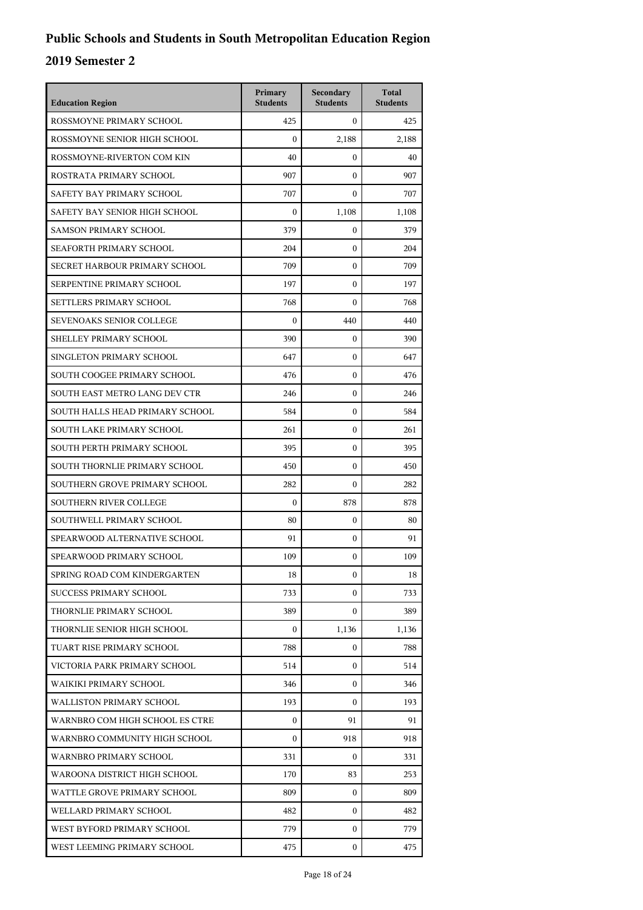| <b>Education Region</b>         | Primary<br><b>Students</b> | Secondary<br><b>Students</b> | <b>Total</b><br><b>Students</b> |
|---------------------------------|----------------------------|------------------------------|---------------------------------|
| ROSSMOYNE PRIMARY SCHOOL        | 425                        | $\mathbf{0}$                 | 425                             |
| ROSSMOYNE SENIOR HIGH SCHOOL    | $\boldsymbol{0}$           | 2.188                        | 2,188                           |
| ROSSMOYNE-RIVERTON COM KIN      | 40                         | $\overline{0}$               | 40                              |
| ROSTRATA PRIMARY SCHOOL         | 907                        | 0                            | 907                             |
| SAFETY BAY PRIMARY SCHOOL       | 707                        | $\theta$                     | 707                             |
| SAFETY BAY SENIOR HIGH SCHOOL   | $\mathbf{0}$               | 1,108                        | 1,108                           |
| <b>SAMSON PRIMARY SCHOOL</b>    | 379                        | 0                            | 379                             |
| SEAFORTH PRIMARY SCHOOL         | 204                        | $\overline{0}$               | 204                             |
| SECRET HARBOUR PRIMARY SCHOOL   | 709                        | 0                            | 709                             |
| SERPENTINE PRIMARY SCHOOL       | 197                        | 0                            | 197                             |
| SETTLERS PRIMARY SCHOOL         | 768                        | $\overline{0}$               | 768                             |
| <b>SEVENOAKS SENIOR COLLEGE</b> | $\boldsymbol{0}$           | 440                          | 440                             |
| SHELLEY PRIMARY SCHOOL          | 390                        | $\overline{0}$               | 390                             |
| SINGLETON PRIMARY SCHOOL        | 647                        | 0                            | 647                             |
| SOUTH COOGEE PRIMARY SCHOOL     | 476                        | 0                            | 476                             |
| SOUTH EAST METRO LANG DEV CTR   | 246                        | $\overline{0}$               | 246                             |
| SOUTH HALLS HEAD PRIMARY SCHOOL | 584                        | 0                            | 584                             |
| SOUTH LAKE PRIMARY SCHOOL       | 261                        | $\overline{0}$               | 261                             |
| SOUTH PERTH PRIMARY SCHOOL      | 395                        | 0                            | 395                             |
| SOUTH THORNLIE PRIMARY SCHOOL   | 450                        | 0                            | 450                             |
| SOUTHERN GROVE PRIMARY SCHOOL   | 282                        | 0                            | 282                             |
| <b>SOUTHERN RIVER COLLEGE</b>   | $\boldsymbol{0}$           | 878                          | 878                             |
| SOUTHWELL PRIMARY SCHOOL        | 80                         | $\overline{0}$               | 80                              |
| SPEARWOOD ALTERNATIVE SCHOOL    | 91                         | 0                            | 91                              |
| SPEARWOOD PRIMARY SCHOOL        | 109                        | 0                            | 109                             |
| SPRING ROAD COM KINDERGARTEN    | 18                         | 0                            | 18                              |
| SUCCESS PRIMARY SCHOOL          | 733                        | 0                            | 733                             |
| THORNLIE PRIMARY SCHOOL         | 389                        | 0                            | 389                             |
| THORNLIE SENIOR HIGH SCHOOL     | $\mathbf{0}$               | 1,136                        | 1,136                           |
| TUART RISE PRIMARY SCHOOL       | 788                        | 0                            | 788                             |
| VICTORIA PARK PRIMARY SCHOOL    | 514                        | 0                            | 514                             |
| WAIKIKI PRIMARY SCHOOL          | 346                        | 0                            | 346                             |
| WALLISTON PRIMARY SCHOOL        | 193                        | 0                            | 193                             |
| WARNBRO COM HIGH SCHOOL ES CTRE | $\mathbf{0}$               | 91                           | 91                              |
| WARNBRO COMMUNITY HIGH SCHOOL   | $\mathbf{0}$               | 918                          | 918                             |
| WARNBRO PRIMARY SCHOOL          | 331                        | 0                            | 331                             |
| WAROONA DISTRICT HIGH SCHOOL    | 170                        | 83                           | 253                             |
| WATTLE GROVE PRIMARY SCHOOL     | 809                        | 0                            | 809                             |
| WELLARD PRIMARY SCHOOL          | 482                        | 0                            | 482                             |
| WEST BYFORD PRIMARY SCHOOL      | 779                        | 0                            | 779                             |
| WEST LEEMING PRIMARY SCHOOL     | 475                        | 0                            | 475                             |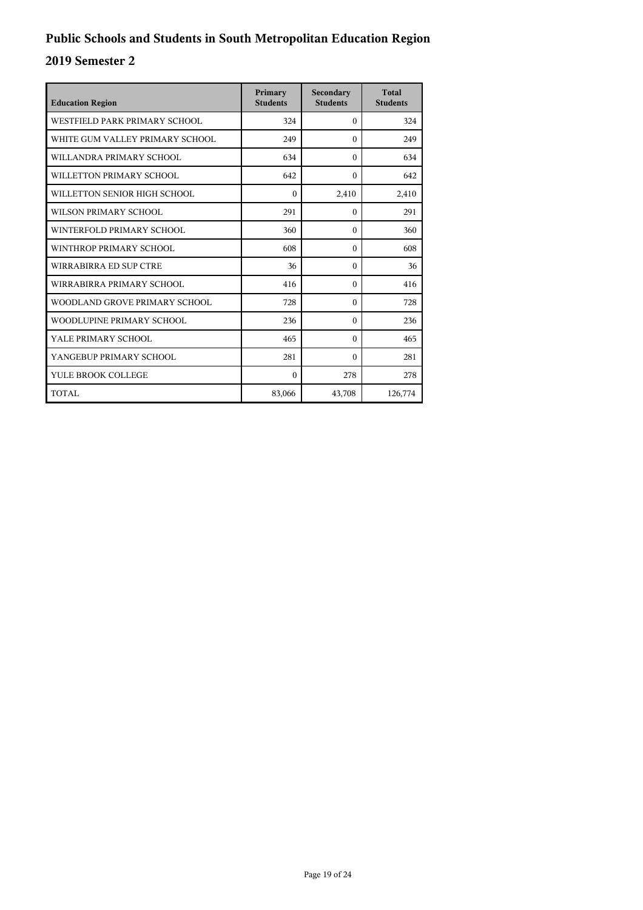| <b>Education Region</b>         | Primary<br><b>Students</b> | Secondary<br><b>Students</b> | <b>Total</b><br><b>Students</b> |
|---------------------------------|----------------------------|------------------------------|---------------------------------|
| WESTFIELD PARK PRIMARY SCHOOL   | 324                        | $\Omega$                     | 324                             |
| WHITE GUM VALLEY PRIMARY SCHOOL | 249                        | $\Omega$                     | 249                             |
| WILLANDRA PRIMARY SCHOOL        | 634                        | $\Omega$                     | 634                             |
| WILLETTON PRIMARY SCHOOL        | 642                        | $\theta$                     | 642                             |
| WILLETTON SENIOR HIGH SCHOOL    | $\theta$                   | 2,410                        | 2,410                           |
| WILSON PRIMARY SCHOOL           | 291                        | $\theta$                     | 291                             |
| WINTERFOLD PRIMARY SCHOOL       | 360                        | $\Omega$                     | 360                             |
| WINTHROP PRIMARY SCHOOL         | 608                        | $\Omega$                     | 608                             |
| WIRRABIRRA ED SUP CTRE          | 36                         | $\Omega$                     | 36                              |
| WIRRABIRRA PRIMARY SCHOOL       | 416                        | $\Omega$                     | 416                             |
| WOODLAND GROVE PRIMARY SCHOOL   | 728                        | $\Omega$                     | 728                             |
| WOODLUPINE PRIMARY SCHOOL       | 236                        | $\Omega$                     | 236                             |
| YALE PRIMARY SCHOOL             | 465                        | $\Omega$                     | 465                             |
| YANGEBUP PRIMARY SCHOOL         | 281                        | $\Omega$                     | 281                             |
| YULE BROOK COLLEGE              | $\theta$                   | 278                          | 278                             |
| TOTAL                           | 83,066                     | 43,708                       | 126,774                         |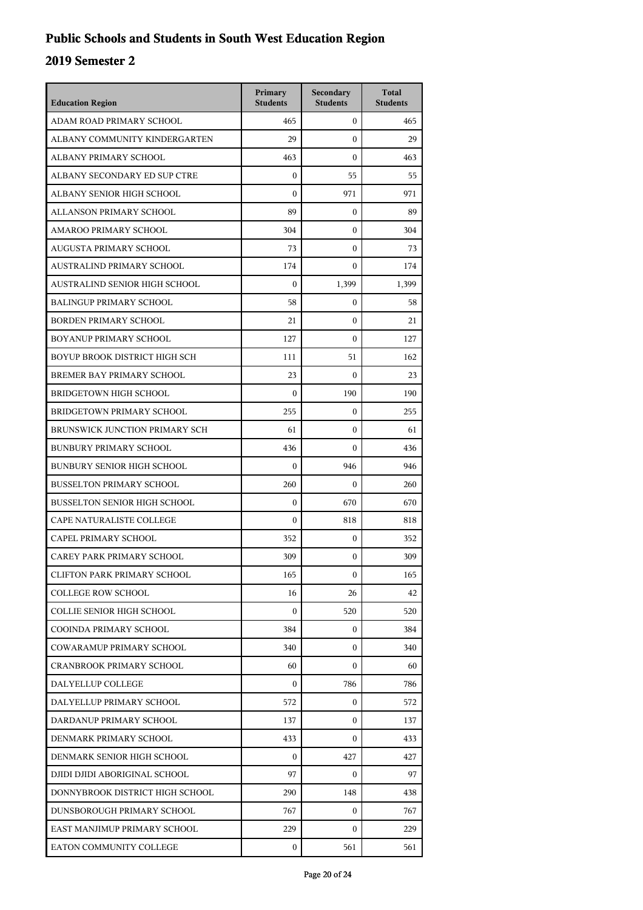| <b>Education Region</b>             | Primary<br><b>Students</b> | Secondary<br><b>Students</b> | <b>Total</b><br><b>Students</b> |
|-------------------------------------|----------------------------|------------------------------|---------------------------------|
| ADAM ROAD PRIMARY SCHOOL            | 465                        | $\mathbf{0}$                 | 465                             |
| ALBANY COMMUNITY KINDERGARTEN       | 29                         | $\mathbf{0}$                 | 29                              |
| ALBANY PRIMARY SCHOOL               | 463                        | $\mathbf{0}$                 | 463                             |
| ALBANY SECONDARY ED SUP CTRE        | $\boldsymbol{0}$           | 55                           | 55                              |
| ALBANY SENIOR HIGH SCHOOL           | $\mathbf{0}$               | 971                          | 971                             |
| ALLANSON PRIMARY SCHOOL             | 89                         | $\boldsymbol{0}$             | 89                              |
| <b>AMAROO PRIMARY SCHOOL</b>        | 304                        | $\mathbf{0}$                 | 304                             |
| AUGUSTA PRIMARY SCHOOL              | 73                         | $\mathbf{0}$                 | 73                              |
| AUSTRALIND PRIMARY SCHOOL           | 174                        | $\boldsymbol{0}$             | 174                             |
| AUSTRALIND SENIOR HIGH SCHOOL       | $\mathbf{0}$               | 1,399                        | 1,399                           |
| <b>BALINGUP PRIMARY SCHOOL</b>      | 58                         | $\boldsymbol{0}$             | 58                              |
| <b>BORDEN PRIMARY SCHOOL</b>        | 21                         | $\mathbf{0}$                 | 21                              |
| BOYANUP PRIMARY SCHOOL              | 127                        | $\mathbf{0}$                 | 127                             |
| BOYUP BROOK DISTRICT HIGH SCH       | 111                        | 51                           | 162                             |
| BREMER BAY PRIMARY SCHOOL           | 23                         | $\boldsymbol{0}$             | 23                              |
| <b>BRIDGETOWN HIGH SCHOOL</b>       | $\mathbf{0}$               | 190                          | 190                             |
| BRIDGETOWN PRIMARY SCHOOL           | 255                        | $\mathbf{0}$                 | 255                             |
| BRUNSWICK JUNCTION PRIMARY SCH      | 61                         | $\mathbf{0}$                 | 61                              |
| <b>BUNBURY PRIMARY SCHOOL</b>       | 436                        | $\mathbf{0}$                 | 436                             |
| <b>BUNBURY SENIOR HIGH SCHOOL</b>   | $\mathbf{0}$               | 946                          | 946                             |
| <b>BUSSELTON PRIMARY SCHOOL</b>     | 260                        | $\mathbf{0}$                 | 260                             |
| <b>BUSSELTON SENIOR HIGH SCHOOL</b> | $\mathbf{0}$               | 670                          | 670                             |
| CAPE NATURALISTE COLLEGE            | $\boldsymbol{0}$           | 818                          | 818                             |
| CAPEL PRIMARY SCHOOL                | 352                        | $\mathbf{0}$                 | 352                             |
| CAREY PARK PRIMARY SCHOOL           | 309                        | $\mathbf{0}$                 | 309                             |
| <b>CLIFTON PARK PRIMARY SCHOOL</b>  | 165                        | $\mathbf{0}$                 | 165                             |
| <b>COLLEGE ROW SCHOOL</b>           | 16                         | 26                           | 42                              |
| COLLIE SENIOR HIGH SCHOOL           | $\Omega$                   | 520                          | 520                             |
| COOINDA PRIMARY SCHOOL              | 384                        | 0                            | 384                             |
| COWARAMUP PRIMARY SCHOOL            | 340                        | 0                            | 340                             |
| <b>CRANBROOK PRIMARY SCHOOL</b>     | 60                         | $\Omega$                     | 60                              |
| DALYELLUP COLLEGE                   | $\Omega$                   | 786                          | 786                             |
| DALYELLUP PRIMARY SCHOOL            | 572                        | 0                            | 572                             |
| DARDANUP PRIMARY SCHOOL             | 137                        | $\mathbf{0}$                 | 137                             |
| DENMARK PRIMARY SCHOOL              | 433                        | $\Omega$                     | 433                             |
| DENMARK SENIOR HIGH SCHOOL          | $\Omega$                   | 427                          | 427                             |
| DJIDI DJIDI ABORIGINAL SCHOOL       | 97                         | $\mathbf{0}$                 | 97                              |
| DONNYBROOK DISTRICT HIGH SCHOOL     | 290                        | 148                          | 438                             |
| DUNSBOROUGH PRIMARY SCHOOL          | 767                        | $\mathbf{0}$                 | 767                             |
| EAST MANJIMUP PRIMARY SCHOOL        | 229                        | $\Omega$                     | 229                             |
| EATON COMMUNITY COLLEGE             | 0                          | 561                          | 561                             |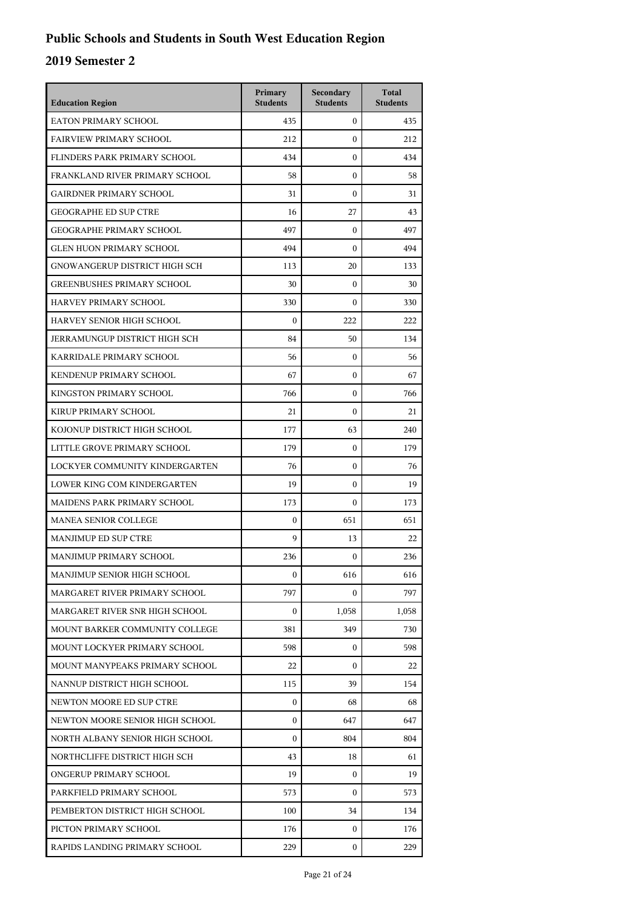| <b>Education Region</b>           | Primary<br><b>Students</b> | Secondary<br><b>Students</b> | <b>Total</b><br><b>Students</b> |
|-----------------------------------|----------------------------|------------------------------|---------------------------------|
| EATON PRIMARY SCHOOL              | 435                        | $\mathbf{0}$                 | 435                             |
| <b>FAIRVIEW PRIMARY SCHOOL</b>    | 212                        | $\mathbf{0}$                 | 212                             |
| FLINDERS PARK PRIMARY SCHOOL      | 434                        | $\mathbf{0}$                 | 434                             |
| FRANKLAND RIVER PRIMARY SCHOOL    | 58                         | $\mathbf{0}$                 | 58                              |
| <b>GAIRDNER PRIMARY SCHOOL</b>    | 31                         | $\mathbf{0}$                 | 31                              |
| <b>GEOGRAPHE ED SUP CTRE</b>      | 16                         | 27                           | 43                              |
| <b>GEOGRAPHE PRIMARY SCHOOL</b>   | 497                        | $\mathbf{0}$                 | 497                             |
| <b>GLEN HUON PRIMARY SCHOOL</b>   | 494                        | $\mathbf{0}$                 | 494                             |
| GNOWANGERUP DISTRICT HIGH SCH     | 113                        | 20                           | 133                             |
| <b>GREENBUSHES PRIMARY SCHOOL</b> | 30                         | $\mathbf{0}$                 | 30                              |
| HARVEY PRIMARY SCHOOL             | 330                        | $\mathbf{0}$                 | 330                             |
| HARVEY SENIOR HIGH SCHOOL         | $\boldsymbol{0}$           | 222                          | 222                             |
| JERRAMUNGUP DISTRICT HIGH SCH     | 84                         | 50                           | 134                             |
| KARRIDALE PRIMARY SCHOOL          | 56                         | $\mathbf{0}$                 | 56                              |
| KENDENUP PRIMARY SCHOOL           | 67                         | $\mathbf{0}$                 | 67                              |
| KINGSTON PRIMARY SCHOOL           | 766                        | $\mathbf{0}$                 | 766                             |
| KIRUP PRIMARY SCHOOL              | 21                         | $\mathbf{0}$                 | 21                              |
| KOJONUP DISTRICT HIGH SCHOOL      | 177                        | 63                           | 240                             |
| LITTLE GROVE PRIMARY SCHOOL       | 179                        | $\mathbf{0}$                 | 179                             |
| LOCKYER COMMUNITY KINDERGARTEN    | 76                         | $\mathbf{0}$                 | 76                              |
| LOWER KING COM KINDERGARTEN       | 19                         | $\mathbf{0}$                 | 19                              |
| MAIDENS PARK PRIMARY SCHOOL       | 173                        | $\mathbf{0}$                 | 173                             |
| <b>MANEA SENIOR COLLEGE</b>       | $\mathbf{0}$               | 651                          | 651                             |
| MANJIMUP ED SUP CTRE              | 9                          | 13                           | 22                              |
| MANJIMUP PRIMARY SCHOOL           | 236                        | $\mathbf{0}$                 | 236                             |
| MANJIMUP SENIOR HIGH SCHOOL       | $\boldsymbol{0}$           | 616                          | 616                             |
| MARGARET RIVER PRIMARY SCHOOL     | 797                        | 0                            | 797                             |
| MARGARET RIVER SNR HIGH SCHOOL    | $\boldsymbol{0}$           | 1,058                        | 1,058                           |
| MOUNT BARKER COMMUNITY COLLEGE    | 381                        | 349                          | 730                             |
| MOUNT LOCKYER PRIMARY SCHOOL      | 598                        | 0                            | 598                             |
| MOUNT MANYPEAKS PRIMARY SCHOOL    | 22                         | 0                            | 22                              |
| NANNUP DISTRICT HIGH SCHOOL       | 115                        | 39                           | 154                             |
| NEWTON MOORE ED SUP CTRE          | $\boldsymbol{0}$           | 68                           | 68                              |
| NEWTON MOORE SENIOR HIGH SCHOOL   | $\boldsymbol{0}$           | 647                          | 647                             |
| NORTH ALBANY SENIOR HIGH SCHOOL   | $\boldsymbol{0}$           | 804                          | 804                             |
| NORTHCLIFFE DISTRICT HIGH SCH     | 43                         | 18                           | 61                              |
| ONGERUP PRIMARY SCHOOL            | 19                         | $\mathbf{0}$                 | 19                              |
| PARKFIELD PRIMARY SCHOOL          | 573                        | $\Omega$                     | 573                             |
| PEMBERTON DISTRICT HIGH SCHOOL    | 100                        | 34                           | 134                             |
| PICTON PRIMARY SCHOOL             | 176                        | 0                            | 176                             |
| RAPIDS LANDING PRIMARY SCHOOL     | 229                        | $\mathbf{0}$                 | 229                             |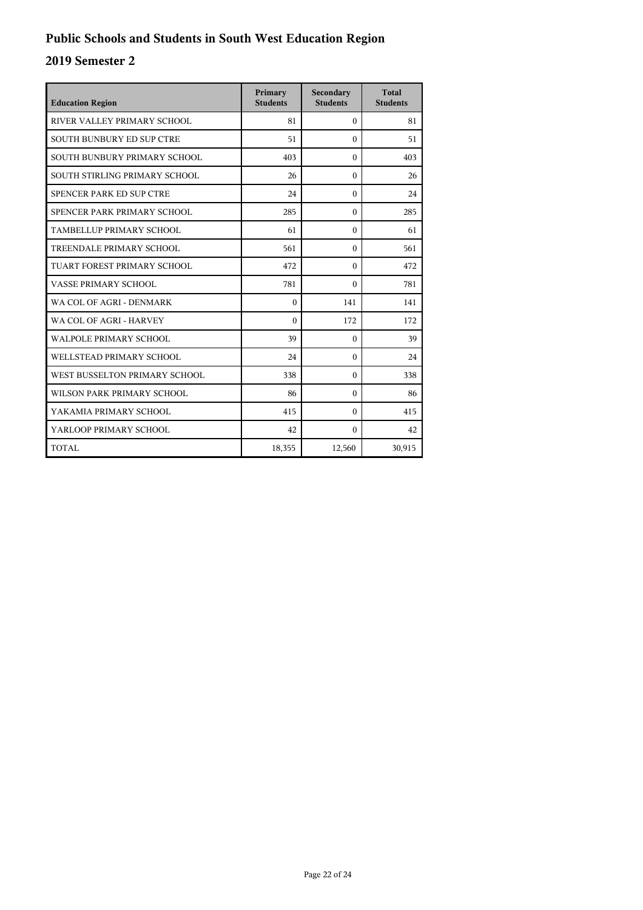| <b>Education Region</b>          | Primary<br><b>Students</b> | Secondary<br><b>Students</b> | <b>Total</b><br><b>Students</b> |
|----------------------------------|----------------------------|------------------------------|---------------------------------|
| RIVER VALLEY PRIMARY SCHOOL      | 81                         | $\Omega$                     | 81                              |
| <b>SOUTH BUNBURY ED SUP CTRE</b> | 51                         | $\Omega$                     | 51                              |
| SOUTH BUNBURY PRIMARY SCHOOL     | 403                        | $\Omega$                     | 403                             |
| SOUTH STIRLING PRIMARY SCHOOL    | 26                         | $\Omega$                     | 26                              |
| SPENCER PARK ED SUP CTRE         | 24                         | $\Omega$                     | 24                              |
| SPENCER PARK PRIMARY SCHOOL      | 285                        | $\mathbf{0}$                 | 285                             |
| TAMBELLUP PRIMARY SCHOOL         | 61                         | $\Omega$                     | 61                              |
| TREENDALE PRIMARY SCHOOL         | 561                        | $\Omega$                     | 561                             |
| TUART FOREST PRIMARY SCHOOL      | 472                        | $\Omega$                     | 472                             |
| VASSE PRIMARY SCHOOL             | 781                        | $\Omega$                     | 781                             |
| WA COL OF AGRI - DENMARK         | $\theta$                   | 141                          | 141                             |
| WA COL OF AGRI - HARVEY          | $\Omega$                   | 172                          | 172                             |
| <b>WALPOLE PRIMARY SCHOOL</b>    | 39                         | $\Omega$                     | 39                              |
| WELLSTEAD PRIMARY SCHOOL         | 24                         | $\Omega$                     | 24                              |
| WEST BUSSELTON PRIMARY SCHOOL    | 338                        | $\Omega$                     | 338                             |
| WILSON PARK PRIMARY SCHOOL       | 86                         | $\Omega$                     | 86                              |
| YAKAMIA PRIMARY SCHOOL           | 415                        | $\Omega$                     | 415                             |
| YARLOOP PRIMARY SCHOOL           | 42                         | $\Omega$                     | 42                              |
| TOTAL                            | 18,355                     | 12,560                       | 30,915                          |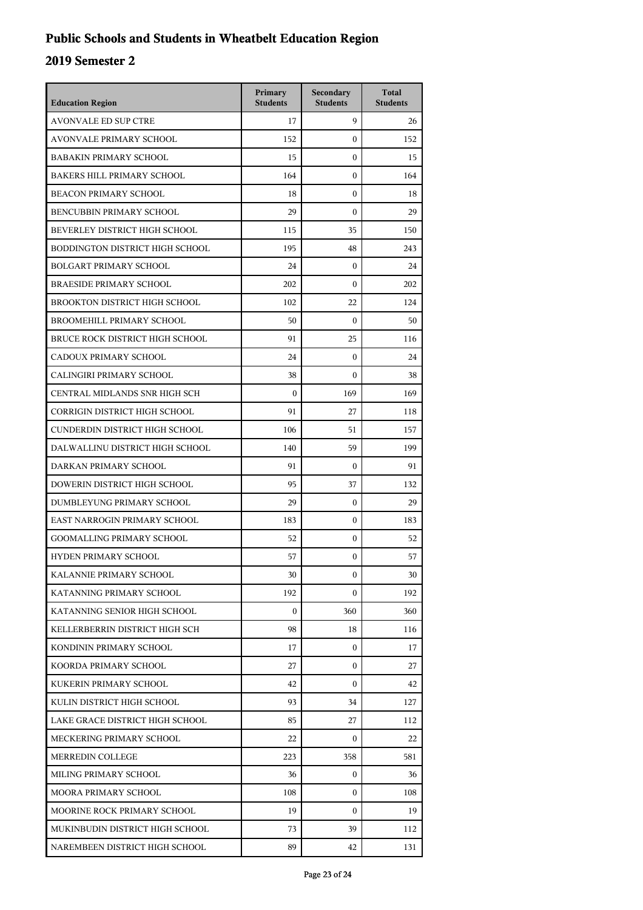## **Public Schools and Students in Wheatbelt Education Region**

| <b>Education Region</b>              | Primary<br><b>Students</b> | Secondary<br><b>Students</b> | <b>Total</b><br><b>Students</b> |
|--------------------------------------|----------------------------|------------------------------|---------------------------------|
| <b>AVONVALE ED SUP CTRE</b>          | 17                         | 9                            | 26                              |
| AVONVALE PRIMARY SCHOOL              | 152                        | $\boldsymbol{0}$             | 152                             |
| <b>BABAKIN PRIMARY SCHOOL</b>        | 15                         | $\mathbf{0}$                 | 15                              |
| <b>BAKERS HILL PRIMARY SCHOOL</b>    | 164                        | $\boldsymbol{0}$             | 164                             |
| <b>BEACON PRIMARY SCHOOL</b>         | 18                         | $\boldsymbol{0}$             | 18                              |
| BENCUBBIN PRIMARY SCHOOL             | 29                         | $\theta$                     | 29                              |
| BEVERLEY DISTRICT HIGH SCHOOL        | 115                        | 35                           | 150                             |
| BODDINGTON DISTRICT HIGH SCHOOL      | 195                        | 48                           | 243                             |
| <b>BOLGART PRIMARY SCHOOL</b>        | 24                         | $\mathbf{0}$                 | 24                              |
| <b>BRAESIDE PRIMARY SCHOOL</b>       | 202                        | $\mathbf{0}$                 | 202                             |
| BROOKTON DISTRICT HIGH SCHOOL        | 102                        | 22                           | 124                             |
| <b>BROOMEHILL PRIMARY SCHOOL</b>     | 50                         | $\boldsymbol{0}$             | 50                              |
| BRUCE ROCK DISTRICT HIGH SCHOOL      | 91                         | 25                           | 116                             |
| CADOUX PRIMARY SCHOOL                | 24                         | $\mathbf{0}$                 | 24                              |
| CALINGIRI PRIMARY SCHOOL             | 38                         | $\boldsymbol{0}$             | 38                              |
| CENTRAL MIDLANDS SNR HIGH SCH        | $\theta$                   | 169                          | 169                             |
| <b>CORRIGIN DISTRICT HIGH SCHOOL</b> | 91                         | 27                           | 118                             |
| CUNDERDIN DISTRICT HIGH SCHOOL       | 106                        | 51                           | 157                             |
| DALWALLINU DISTRICT HIGH SCHOOL      | 140                        | 59                           | 199                             |
| DARKAN PRIMARY SCHOOL                | 91                         | $\mathbf{0}$                 | 91                              |
| DOWERIN DISTRICT HIGH SCHOOL         | 95                         | 37                           | 132                             |
| DUMBLEYUNG PRIMARY SCHOOL            | 29                         | $\mathbf{0}$                 | 29                              |
| EAST NARROGIN PRIMARY SCHOOL         | 183                        | $\mathbf{0}$                 | 183                             |
| <b>GOOMALLING PRIMARY SCHOOL</b>     | 52                         | $\boldsymbol{0}$             | 52                              |
| <b>HYDEN PRIMARY SCHOOL</b>          | 57                         | $\boldsymbol{0}$             | 57                              |
| KALANNIE PRIMARY SCHOOL              | 30                         | $\boldsymbol{0}$             | 30                              |
| KATANNING PRIMARY SCHOOL             | 192                        | $\mathbf{0}$                 | 192                             |
| KATANNING SENIOR HIGH SCHOOL         | $\overline{0}$             | 360                          | 360                             |
| KELLERBERRIN DISTRICT HIGH SCH       | 98                         | 18                           | 116                             |
| KONDININ PRIMARY SCHOOL              | 17                         | $\mathbf{0}$                 | 17                              |
| KOORDA PRIMARY SCHOOL                | 27                         | 0                            | 27                              |
| KUKERIN PRIMARY SCHOOL               | 42                         | $\mathbf{0}$                 | 42                              |
| KULIN DISTRICT HIGH SCHOOL           | 93                         | 34                           | 127                             |
| LAKE GRACE DISTRICT HIGH SCHOOL      | 85                         | 27                           | 112                             |
| MECKERING PRIMARY SCHOOL             | 22                         | $\mathbf{0}$                 | 22                              |
| MERREDIN COLLEGE                     | 223                        | 358                          | 581                             |
| MILING PRIMARY SCHOOL                | 36                         | $\mathbf{0}$                 | 36                              |
| MOORA PRIMARY SCHOOL                 | 108                        | $\mathbf{0}$                 | 108                             |
| MOORINE ROCK PRIMARY SCHOOL          | 19                         | $\boldsymbol{0}$             | 19                              |
| MUKINBUDIN DISTRICT HIGH SCHOOL      | 73                         | 39                           | 112                             |
| NAREMBEEN DISTRICT HIGH SCHOOL       | 89                         | 42                           | 131                             |